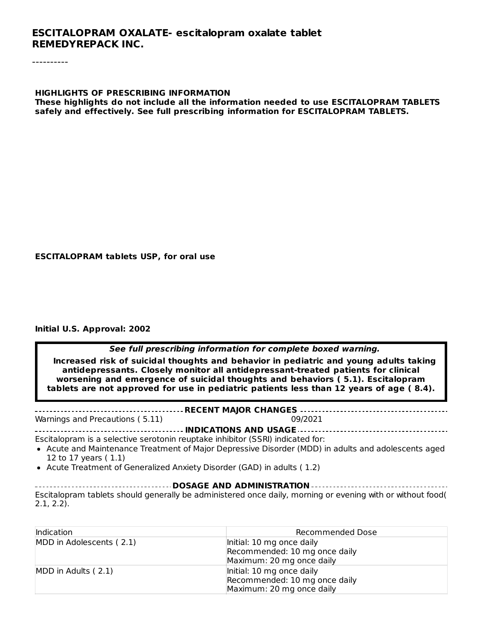#### **HIGHLIGHTS OF PRESCRIBING INFORMATION These highlights do not include all the information needed to use ESCITALOPRAM TABLETS safely and effectively. See full prescribing information for ESCITALOPRAM TABLETS.**

#### **ESCITALOPRAM tablets USP, for oral use**

#### **Initial U.S. Approval: 2002**

**See full prescribing information for complete boxed warning.**

**Increased risk of suicidal thoughts and behavior in pediatric and young adults taking antidepressants. Closely monitor all antidepressant-treated patients for clinical worsening and emergence of suicidal thoughts and behaviors ( 5.1). Escitalopram tablets are not approved for use in pediatric patients less than 12 years of age ( 8.4).**

**RECENT MAJOR CHANGES** Warnings and Precautions ( 5.11) 09/2021

**INDICATIONS AND USAGE**

Escitalopram is a selective serotonin reuptake inhibitor (SSRI) indicated for:

- Acute and Maintenance Treatment of Major Depressive Disorder (MDD) in adults and adolescents aged 12 to 17 years ( 1.1)
- Acute Treatment of Generalized Anxiety Disorder (GAD) in adults ( 1.2)

#### **DOSAGE AND ADMINISTRATION**

Escitalopram tablets should generally be administered once daily, morning or evening with or without food( 2.1, 2.2).

| Indication               | <b>Recommended Dose</b>       |
|--------------------------|-------------------------------|
| MDD in Adolescents (2.1) | Initial: 10 mg once daily     |
|                          | Recommended: 10 mg once daily |
|                          | Maximum: 20 mg once daily     |
| MDD in Adults (2.1)      | Initial: 10 mg once daily     |
|                          | Recommended: 10 mg once daily |
|                          | Maximum: 20 mg once daily     |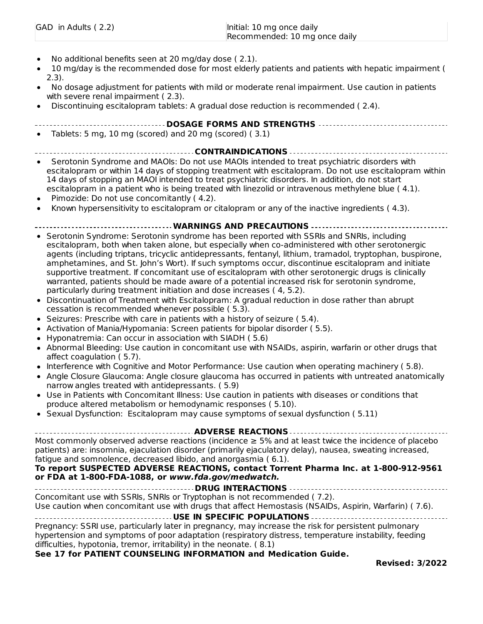| GAD in Adults (2.2) | Initial: 10 mg once daily     |
|---------------------|-------------------------------|
|                     | Recommended: 10 mg once daily |

- No additional benefits seen at 20 mg/day dose ( 2.1).
- 10 mg/day is the recommended dose for most elderly patients and patients with hepatic impairment ( 2.3).
- No dosage adjustment for patients with mild or moderate renal impairment. Use caution in patients with severe renal impairment ( 2.3).
- Discontinuing escitalopram tablets: A gradual dose reduction is recommended ( 2.4).
	- **DOSAGE FORMS AND STRENGTHS**
- Tablets: 5 mg, 10 mg (scored) and 20 mg (scored) ( 3.1)

**CONTRAINDICATIONS**

- Serotonin Syndrome and MAOIs: Do not use MAOIs intended to treat psychiatric disorders with escitalopram or within 14 days of stopping treatment with escitalopram. Do not use escitalopram within 14 days of stopping an MAOI intended to treat psychiatric disorders. In addition, do not start escitalopram in a patient who is being treated with linezolid or intravenous methylene blue ( 4.1).
- Pimozide: Do not use concomitantly ( 4.2).
- Known hypersensitivity to escitalopram or citalopram or any of the inactive ingredients ( 4.3).

#### **WARNINGS AND PRECAUTIONS**

- Serotonin Syndrome: Serotonin syndrome has been reported with SSRIs and SNRIs, including escitalopram, both when taken alone, but especially when co-administered with other serotonergic agents (including triptans, tricyclic antidepressants, fentanyl, lithium, tramadol, tryptophan, buspirone, amphetamines, and St. John's Wort). If such symptoms occur, discontinue escitalopram and initiate supportive treatment. If concomitant use of escitalopram with other serotonergic drugs is clinically warranted, patients should be made aware of a potential increased risk for serotonin syndrome, particularly during treatment initiation and dose increases ( 4, 5.2).
- Discontinuation of Treatment with Escitalopram: A gradual reduction in dose rather than abrupt cessation is recommended whenever possible ( 5.3).
- Seizures: Prescribe with care in patients with a history of seizure (5.4).
- Activation of Mania/Hypomania: Screen patients for bipolar disorder ( 5.5).
- Hyponatremia: Can occur in association with SIADH ( 5.6)  $\bullet$
- Abnormal Bleeding: Use caution in concomitant use with NSAIDs, aspirin, warfarin or other drugs that  $\bullet$ affect coagulation ( 5.7).
- Interference with Cognitive and Motor Performance: Use caution when operating machinery ( 5.8).
- Angle Closure Glaucoma: Angle closure glaucoma has occurred in patients with untreated anatomically narrow angles treated with antidepressants. ( 5.9)
- Use in Patients with Concomitant Illness: Use caution in patients with diseases or conditions that  $\bullet$ produce altered metabolism or hemodynamic responses ( 5.10).
- Sexual Dysfunction: Escitalopram may cause symptoms of sexual dysfunction ( 5.11)

| <b>ADVERSE REACTIONS</b> ---------------------------------                                                                                                                                                                                                                                                                                                                                                                             |  |  |  |
|----------------------------------------------------------------------------------------------------------------------------------------------------------------------------------------------------------------------------------------------------------------------------------------------------------------------------------------------------------------------------------------------------------------------------------------|--|--|--|
| Most commonly observed adverse reactions (incidence $\geq$ 5% and at least twice the incidence of placebo<br>patients) are: insomnia, ejaculation disorder (primarily ejaculatory delay), nausea, sweating increased,<br>fatique and somnolence, decreased libido, and anorgasmia (6.1).<br>To report SUSPECTED ADVERSE REACTIONS, contact Torrent Pharma Inc. at 1-800-912-9561<br>or FDA at 1-800-FDA-1088, or www.fda.gov/medwatch. |  |  |  |
|                                                                                                                                                                                                                                                                                                                                                                                                                                        |  |  |  |
| Concomitant use with SSRIs, SNRIs or Tryptophan is not recommended (7.2).                                                                                                                                                                                                                                                                                                                                                              |  |  |  |
| Use caution when concomitant use with drugs that affect Hemostasis (NSAIDs, Aspirin, Warfarin) (7.6).                                                                                                                                                                                                                                                                                                                                  |  |  |  |
|                                                                                                                                                                                                                                                                                                                                                                                                                                        |  |  |  |
| Pregnancy: SSRI use, particularly later in pregnancy, may increase the risk for persistent pulmonary<br>hypertension and symptoms of poor adaptation (respiratory distress, temperature instability, feeding                                                                                                                                                                                                                           |  |  |  |

difficulties, hypotonia, tremor, irritability) in the neonate. ( 8.1)

#### **See 17 for PATIENT COUNSELING INFORMATION and Medication Guide.**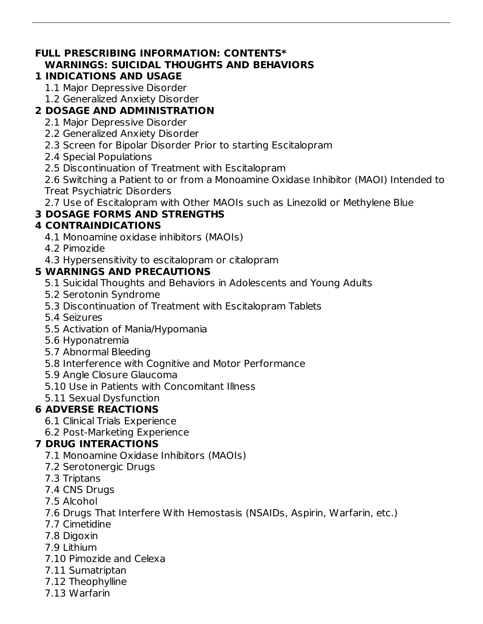#### **FULL PRESCRIBING INFORMATION: CONTENTS\* WARNINGS: SUICIDAL THOUGHTS AND BEHAVIORS**

### **1 INDICATIONS AND USAGE**

- 1.1 Major Depressive Disorder
- 1.2 Generalized Anxiety Disorder

## **2 DOSAGE AND ADMINISTRATION**

- 2.1 Major Depressive Disorder
- 2.2 Generalized Anxiety Disorder
- 2.3 Screen for Bipolar Disorder Prior to starting Escitalopram
- 2.4 Special Populations
- 2.5 Discontinuation of Treatment with Escitalopram

2.6 Switching a Patient to or from a Monoamine Oxidase Inhibitor (MAOI) Intended to Treat Psychiatric Disorders

2.7 Use of Escitalopram with Other MAOIs such as Linezolid or Methylene Blue

## **3 DOSAGE FORMS AND STRENGTHS**

## **4 CONTRAINDICATIONS**

- 4.1 Monoamine oxidase inhibitors (MAOIs)
- 4.2 Pimozide
- 4.3 Hypersensitivity to escitalopram or citalopram

## **5 WARNINGS AND PRECAUTIONS**

- 5.1 Suicidal Thoughts and Behaviors in Adolescents and Young Adults
- 5.2 Serotonin Syndrome
- 5.3 Discontinuation of Treatment with Escitalopram Tablets
- 5.4 Seizures
- 5.5 Activation of Mania/Hypomania
- 5.6 Hyponatremia
- 5.7 Abnormal Bleeding
- 5.8 Interference with Cognitive and Motor Performance
- 5.9 Angle Closure Glaucoma
- 5.10 Use in Patients with Concomitant Illness
- 5.11 Sexual Dysfunction

## **6 ADVERSE REACTIONS**

- 6.1 Clinical Trials Experience
- 6.2 Post-Marketing Experience

## **7 DRUG INTERACTIONS**

- 7.1 Monoamine Oxidase Inhibitors (MAOIs)
- 7.2 Serotonergic Drugs
- 7.3 Triptans
- 7.4 CNS Drugs
- 7.5 Alcohol
- 7.6 Drugs That Interfere With Hemostasis (NSAIDs, Aspirin, Warfarin, etc.)
- 7.7 Cimetidine
- 7.8 Digoxin
- 7.9 Lithium
- 7.10 Pimozide and Celexa
- 7.11 Sumatriptan
- 7.12 Theophylline
- 7.13 Warfarin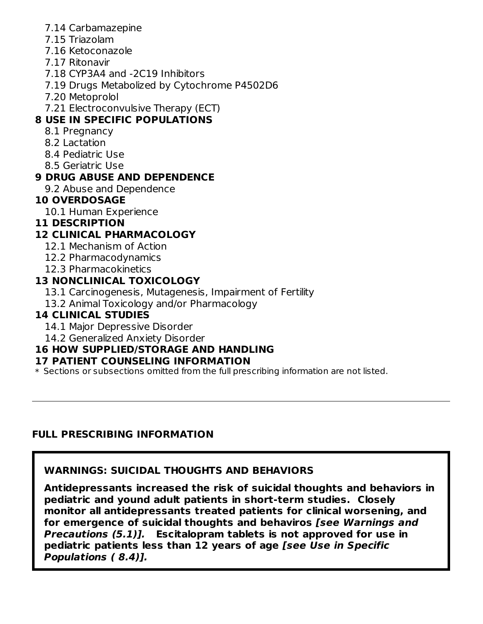- 7.14 Carbamazepine
- 7.15 Triazolam
- 7.16 Ketoconazole
- 7.17 Ritonavir
- 7.18 CYP3A4 and -2C19 Inhibitors
- 7.19 Drugs Metabolized by Cytochrome P4502D6
- 7.20 Metoprolol
- 7.21 Electroconvulsive Therapy (ECT)

### **8 USE IN SPECIFIC POPULATIONS**

- 8.1 Pregnancy
- 8.2 Lactation
- 8.4 Pediatric Use
- 8.5 Geriatric Use

#### **9 DRUG ABUSE AND DEPENDENCE**

9.2 Abuse and Dependence

#### **10 OVERDOSAGE**

10.1 Human Experience

#### **11 DESCRIPTION**

### **12 CLINICAL PHARMACOLOGY**

- 12.1 Mechanism of Action
- 12.2 Pharmacodynamics
- 12.3 Pharmacokinetics

#### **13 NONCLINICAL TOXICOLOGY**

- 13.1 Carcinogenesis, Mutagenesis, Impairment of Fertility
- 13.2 Animal Toxicology and/or Pharmacology

#### **14 CLINICAL STUDIES**

- 14.1 Major Depressive Disorder
- 14.2 Generalized Anxiety Disorder

### **16 HOW SUPPLIED/STORAGE AND HANDLING**

#### **17 PATIENT COUNSELING INFORMATION**

\* Sections or subsections omitted from the full prescribing information are not listed.

#### **FULL PRESCRIBING INFORMATION**

#### **WARNINGS: SUICIDAL THOUGHTS AND BEHAVIORS**

**Antidepressants increased the risk of suicidal thoughts and behaviors in pediatric and yound adult patients in short-term studies. Closely monitor all antidepressants treated patients for clinical worsening, and for emergence of suicidal thoughts and behaviros [see Warnings and Precautions (5.1)]. Escitalopram tablets is not approved for use in pediatric patients less than 12 years of age [see Use in Specific Populations ( 8.4)].**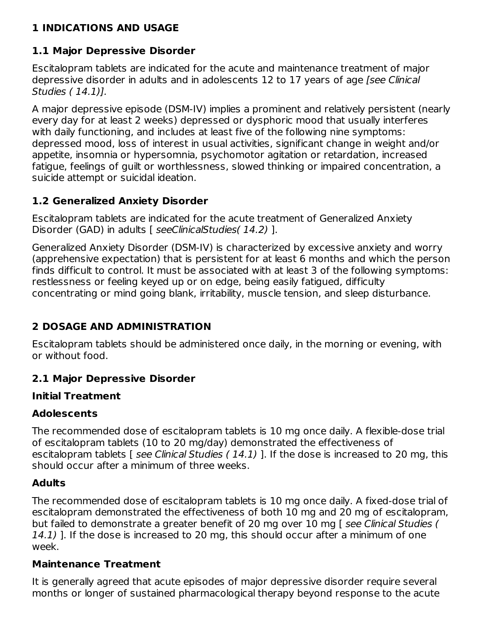#### **1 INDICATIONS AND USAGE**

### **1.1 Major Depressive Disorder**

Escitalopram tablets are indicated for the acute and maintenance treatment of major depressive disorder in adults and in adolescents 12 to 17 years of age [see Clinical Studies ( 14.1)].

A major depressive episode (DSM-IV) implies a prominent and relatively persistent (nearly every day for at least 2 weeks) depressed or dysphoric mood that usually interferes with daily functioning, and includes at least five of the following nine symptoms: depressed mood, loss of interest in usual activities, significant change in weight and/or appetite, insomnia or hypersomnia, psychomotor agitation or retardation, increased fatigue, feelings of guilt or worthlessness, slowed thinking or impaired concentration, a suicide attempt or suicidal ideation.

### **1.2 Generalized Anxiety Disorder**

Escitalopram tablets are indicated for the acute treatment of Generalized Anxiety Disorder (GAD) in adults [ seeClinicalStudies( 14.2) ].

Generalized Anxiety Disorder (DSM-IV) is characterized by excessive anxiety and worry (apprehensive expectation) that is persistent for at least 6 months and which the person finds difficult to control. It must be associated with at least 3 of the following symptoms: restlessness or feeling keyed up or on edge, being easily fatigued, difficulty concentrating or mind going blank, irritability, muscle tension, and sleep disturbance.

### **2 DOSAGE AND ADMINISTRATION**

Escitalopram tablets should be administered once daily, in the morning or evening, with or without food.

### **2.1 Major Depressive Disorder**

#### **Initial Treatment**

#### **Adolescents**

The recommended dose of escitalopram tablets is 10 mg once daily. A flexible-dose trial of escitalopram tablets (10 to 20 mg/day) demonstrated the effectiveness of escitalopram tablets [ see Clinical Studies (14.1) ]. If the dose is increased to 20 mg, this should occur after a minimum of three weeks.

#### **Adults**

The recommended dose of escitalopram tablets is 10 mg once daily. A fixed-dose trial of escitalopram demonstrated the effectiveness of both 10 mg and 20 mg of escitalopram, but failed to demonstrate a greater benefit of 20 mg over 10 mg [ see Clinical Studies ( 14.1) ]. If the dose is increased to 20 mg, this should occur after a minimum of one week.

#### **Maintenance Treatment**

It is generally agreed that acute episodes of major depressive disorder require several months or longer of sustained pharmacological therapy beyond response to the acute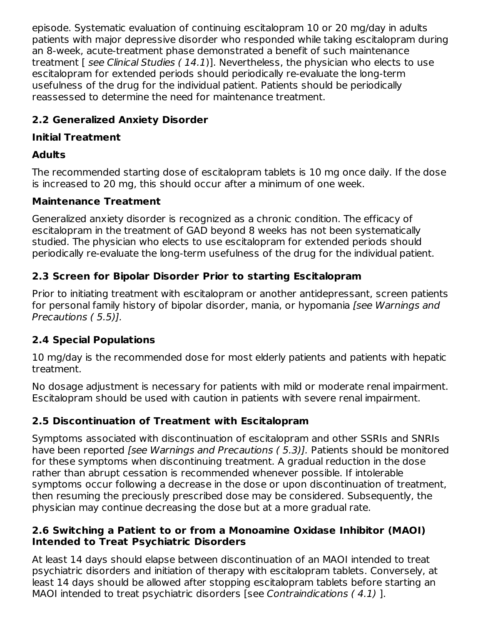episode. Systematic evaluation of continuing escitalopram 10 or 20 mg/day in adults patients with major depressive disorder who responded while taking escitalopram during an 8-week, acute-treatment phase demonstrated a benefit of such maintenance treatment  $\Gamma$  see Clinical Studies (14.1)]. Nevertheless, the physician who elects to use escitalopram for extended periods should periodically re-evaluate the long-term usefulness of the drug for the individual patient. Patients should be periodically reassessed to determine the need for maintenance treatment.

### **2.2 Generalized Anxiety Disorder**

### **Initial Treatment**

### **Adults**

The recommended starting dose of escitalopram tablets is 10 mg once daily. If the dose is increased to 20 mg, this should occur after a minimum of one week.

### **Maintenance Treatment**

Generalized anxiety disorder is recognized as a chronic condition. The efficacy of escitalopram in the treatment of GAD beyond 8 weeks has not been systematically studied. The physician who elects to use escitalopram for extended periods should periodically re-evaluate the long-term usefulness of the drug for the individual patient.

## **2.3 Screen for Bipolar Disorder Prior to starting Escitalopram**

Prior to initiating treatment with escitalopram or another antidepressant, screen patients for personal family history of bipolar disorder, mania, or hypomania [see Warnings and Precautions ( 5.5)].

### **2.4 Special Populations**

10 mg/day is the recommended dose for most elderly patients and patients with hepatic treatment.

No dosage adjustment is necessary for patients with mild or moderate renal impairment. Escitalopram should be used with caution in patients with severe renal impairment.

### **2.5 Discontinuation of Treatment with Escitalopram**

Symptoms associated with discontinuation of escitalopram and other SSRIs and SNRIs have been reported [see Warnings and Precautions (5.3)]. Patients should be monitored for these symptoms when discontinuing treatment. A gradual reduction in the dose rather than abrupt cessation is recommended whenever possible. If intolerable symptoms occur following a decrease in the dose or upon discontinuation of treatment, then resuming the preciously prescribed dose may be considered. Subsequently, the physician may continue decreasing the dose but at a more gradual rate.

#### **2.6 Switching a Patient to or from a Monoamine Oxidase Inhibitor (MAOI) Intended to Treat Psychiatric Disorders**

At least 14 days should elapse between discontinuation of an MAOI intended to treat psychiatric disorders and initiation of therapy with escitalopram tablets. Conversely, at least 14 days should be allowed after stopping escitalopram tablets before starting an MAOI intended to treat psychiatric disorders [see Contraindications ( 4.1) ].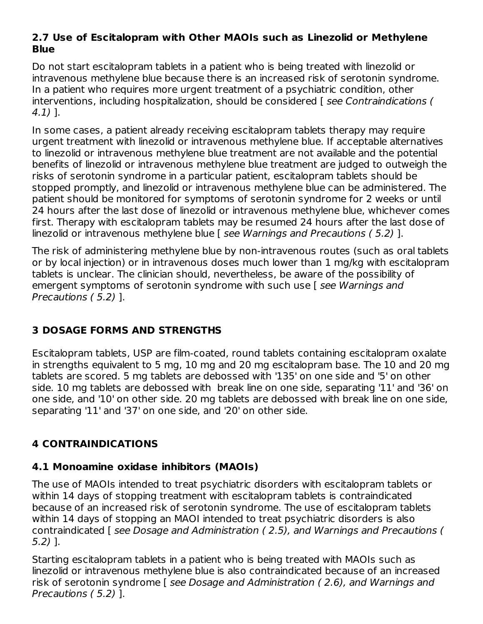#### **2.7 Use of Escitalopram with Other MAOIs such as Linezolid or Methylene Blue**

Do not start escitalopram tablets in a patient who is being treated with linezolid or intravenous methylene blue because there is an increased risk of serotonin syndrome. In a patient who requires more urgent treatment of a psychiatric condition, other interventions, including hospitalization, should be considered [ see Contraindications ( 4.1) ].

In some cases, a patient already receiving escitalopram tablets therapy may require urgent treatment with linezolid or intravenous methylene blue. If acceptable alternatives to linezolid or intravenous methylene blue treatment are not available and the potential benefits of linezolid or intravenous methylene blue treatment are judged to outweigh the risks of serotonin syndrome in a particular patient, escitalopram tablets should be stopped promptly, and linezolid or intravenous methylene blue can be administered. The patient should be monitored for symptoms of serotonin syndrome for 2 weeks or until 24 hours after the last dose of linezolid or intravenous methylene blue, whichever comes first. Therapy with escitalopram tablets may be resumed 24 hours after the last dose of linezolid or intravenous methylene blue [ see Warnings and Precautions ( 5.2) ].

The risk of administering methylene blue by non-intravenous routes (such as oral tablets or by local injection) or in intravenous doses much lower than 1 mg/kg with escitalopram tablets is unclear. The clinician should, nevertheless, be aware of the possibility of emergent symptoms of serotonin syndrome with such use [ see Warnings and Precautions ( 5.2) ].

### **3 DOSAGE FORMS AND STRENGTHS**

Escitalopram tablets, USP are film-coated, round tablets containing escitalopram oxalate in strengths equivalent to 5 mg, 10 mg and 20 mg escitalopram base. The 10 and 20 mg tablets are scored. 5 mg tablets are debossed with '135' on one side and '5' on other side. 10 mg tablets are debossed with break line on one side, separating '11' and '36' on one side, and '10' on other side. 20 mg tablets are debossed with break line on one side, separating '11' and '37' on one side, and '20' on other side.

#### **4 CONTRAINDICATIONS**

#### **4.1 Monoamine oxidase inhibitors (MAOIs)**

The use of MAOIs intended to treat psychiatric disorders with escitalopram tablets or within 14 days of stopping treatment with escitalopram tablets is contraindicated because of an increased risk of serotonin syndrome. The use of escitalopram tablets within 14 days of stopping an MAOI intended to treat psychiatric disorders is also contraindicated [ see Dosage and Administration ( 2.5), and Warnings and Precautions ( 5.2) ].

Starting escitalopram tablets in a patient who is being treated with MAOIs such as linezolid or intravenous methylene blue is also contraindicated because of an increased risk of serotonin syndrome [ see Dosage and Administration ( 2.6), and Warnings and Precautions ( 5.2) ].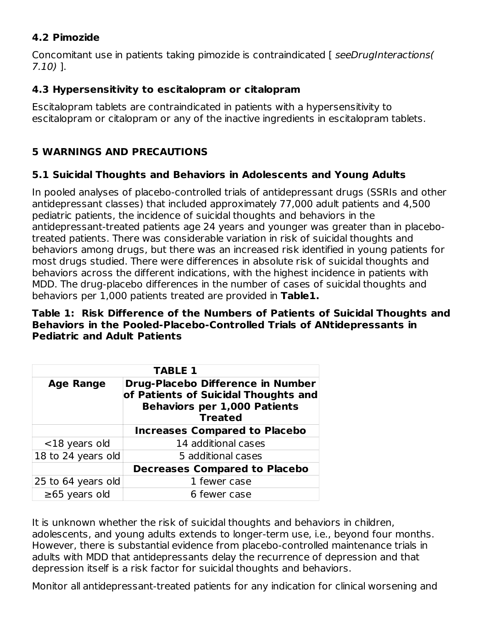#### **4.2 Pimozide**

Concomitant use in patients taking pimozide is contraindicated [ seeDrugInteractions( 7.10) ].

#### **4.3 Hypersensitivity to escitalopram or citalopram**

Escitalopram tablets are contraindicated in patients with a hypersensitivity to escitalopram or citalopram or any of the inactive ingredients in escitalopram tablets.

### **5 WARNINGS AND PRECAUTIONS**

#### **5.1 Suicidal Thoughts and Behaviors in Adolescents and Young Adults**

In pooled analyses of placebo-controlled trials of antidepressant drugs (SSRIs and other antidepressant classes) that included approximately 77,000 adult patients and 4,500 pediatric patients, the incidence of suicidal thoughts and behaviors in the antidepressant-treated patients age 24 years and younger was greater than in placebotreated patients. There was considerable variation in risk of suicidal thoughts and behaviors among drugs, but there was an increased risk identified in young patients for most drugs studied. There were differences in absolute risk of suicidal thoughts and behaviors across the different indications, with the highest incidence in patients with MDD. The drug-placebo differences in the number of cases of suicidal thoughts and behaviors per 1,000 patients treated are provided in **Table1.**

#### **Table 1: Risk Difference of the Numbers of Patients of Suicidal Thoughts and Behaviors in the Pooled-Placebo-Controlled Trials of ANtidepressants in Pediatric and Adult Patients**

| <b>TABLE 1</b>                                                                                                                                         |                                      |  |  |
|--------------------------------------------------------------------------------------------------------------------------------------------------------|--------------------------------------|--|--|
| Drug-Placebo Difference in Number<br><b>Age Range</b><br>of Patients of Suicidal Thoughts and<br><b>Behaviors per 1,000 Patients</b><br><b>Treated</b> |                                      |  |  |
|                                                                                                                                                        | <b>Increases Compared to Placebo</b> |  |  |
| $<$ 18 years old                                                                                                                                       | 14 additional cases                  |  |  |
| 18 to 24 years old                                                                                                                                     | 5 additional cases                   |  |  |
|                                                                                                                                                        | <b>Decreases Compared to Placebo</b> |  |  |
| 25 to 64 years old                                                                                                                                     | 1 fewer case                         |  |  |
| $\geq 65$ years old                                                                                                                                    | 6 fewer case                         |  |  |

It is unknown whether the risk of suicidal thoughts and behaviors in children, adolescents, and young adults extends to longer-term use, i.e., beyond four months. However, there is substantial evidence from placebo-controlled maintenance trials in adults with MDD that antidepressants delay the recurrence of depression and that depression itself is a risk factor for suicidal thoughts and behaviors.

Monitor all antidepressant-treated patients for any indication for clinical worsening and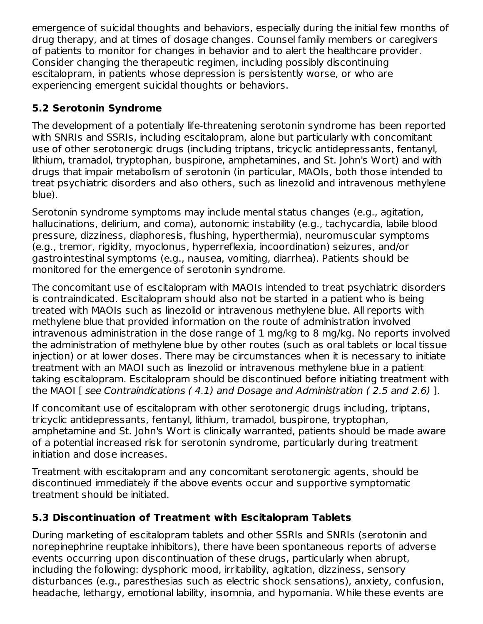emergence of suicidal thoughts and behaviors, especially during the initial few months of drug therapy, and at times of dosage changes. Counsel family members or caregivers of patients to monitor for changes in behavior and to alert the healthcare provider. Consider changing the therapeutic regimen, including possibly discontinuing escitalopram, in patients whose depression is persistently worse, or who are experiencing emergent suicidal thoughts or behaviors.

### **5.2 Serotonin Syndrome**

The development of a potentially life-threatening serotonin syndrome has been reported with SNRIs and SSRIs, including escitalopram, alone but particularly with concomitant use of other serotonergic drugs (including triptans, tricyclic antidepressants, fentanyl, lithium, tramadol, tryptophan, buspirone, amphetamines, and St. John's Wort) and with drugs that impair metabolism of serotonin (in particular, MAOIs, both those intended to treat psychiatric disorders and also others, such as linezolid and intravenous methylene blue).

Serotonin syndrome symptoms may include mental status changes (e.g., agitation, hallucinations, delirium, and coma), autonomic instability (e.g., tachycardia, labile blood pressure, dizziness, diaphoresis, flushing, hyperthermia), neuromuscular symptoms (e.g., tremor, rigidity, myoclonus, hyperreflexia, incoordination) seizures, and/or gastrointestinal symptoms (e.g., nausea, vomiting, diarrhea). Patients should be monitored for the emergence of serotonin syndrome.

The concomitant use of escitalopram with MAOIs intended to treat psychiatric disorders is contraindicated. Escitalopram should also not be started in a patient who is being treated with MAOIs such as linezolid or intravenous methylene blue. All reports with methylene blue that provided information on the route of administration involved intravenous administration in the dose range of 1 mg/kg to 8 mg/kg. No reports involved the administration of methylene blue by other routes (such as oral tablets or local tissue injection) or at lower doses. There may be circumstances when it is necessary to initiate treatment with an MAOI such as linezolid or intravenous methylene blue in a patient taking escitalopram. Escitalopram should be discontinued before initiating treatment with the MAOI [ see Contraindications ( 4.1) and Dosage and Administration ( 2.5 and 2.6) ].

If concomitant use of escitalopram with other serotonergic drugs including, triptans, tricyclic antidepressants, fentanyl, lithium, tramadol, buspirone, tryptophan, amphetamine and St. John's Wort is clinically warranted, patients should be made aware of a potential increased risk for serotonin syndrome, particularly during treatment initiation and dose increases.

Treatment with escitalopram and any concomitant serotonergic agents, should be discontinued immediately if the above events occur and supportive symptomatic treatment should be initiated.

### **5.3 Discontinuation of Treatment with Escitalopram Tablets**

During marketing of escitalopram tablets and other SSRIs and SNRIs (serotonin and norepinephrine reuptake inhibitors), there have been spontaneous reports of adverse events occurring upon discontinuation of these drugs, particularly when abrupt, including the following: dysphoric mood, irritability, agitation, dizziness, sensory disturbances (e.g., paresthesias such as electric shock sensations), anxiety, confusion, headache, lethargy, emotional lability, insomnia, and hypomania. While these events are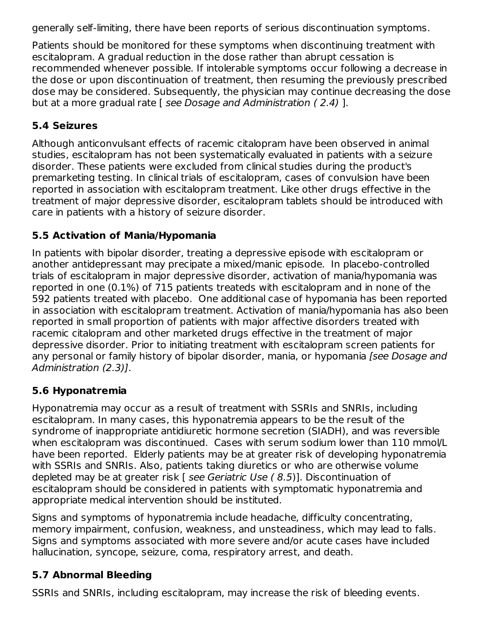generally self-limiting, there have been reports of serious discontinuation symptoms.

Patients should be monitored for these symptoms when discontinuing treatment with escitalopram. A gradual reduction in the dose rather than abrupt cessation is recommended whenever possible. If intolerable symptoms occur following a decrease in the dose or upon discontinuation of treatment, then resuming the previously prescribed dose may be considered. Subsequently, the physician may continue decreasing the dose but at a more gradual rate [ see Dosage and Administration ( 2.4) ].

### **5.4 Seizures**

Although anticonvulsant effects of racemic citalopram have been observed in animal studies, escitalopram has not been systematically evaluated in patients with a seizure disorder. These patients were excluded from clinical studies during the product's premarketing testing. In clinical trials of escitalopram, cases of convulsion have been reported in association with escitalopram treatment. Like other drugs effective in the treatment of major depressive disorder, escitalopram tablets should be introduced with care in patients with a history of seizure disorder.

### **5.5 Activation of Mania/Hypomania**

In patients with bipolar disorder, treating a depressive episode with escitalopram or another antidepressant may precipate a mixed/manic episode. In placebo-controlled trials of escitalopram in major depressive disorder, activation of mania/hypomania was reported in one (0.1%) of 715 patients treateds with escitalopram and in none of the 592 patients treated with placebo. One additional case of hypomania has been reported in association with escitalopram treatment. Activation of mania/hypomania has also been reported in small proportion of patients with major affective disorders treated with racemic citalopram and other marketed drugs effective in the treatment of major depressive disorder. Prior to initiating treatment with escitalopram screen patients for any personal or family history of bipolar disorder, mania, or hypomania [see Dosage and Administration (2.3)].

### **5.6 Hyponatremia**

Hyponatremia may occur as a result of treatment with SSRIs and SNRIs, including escitalopram. In many cases, this hyponatremia appears to be the result of the syndrome of inappropriate antidiuretic hormone secretion (SIADH), and was reversible when escitalopram was discontinued. Cases with serum sodium lower than 110 mmol/L have been reported. Elderly patients may be at greater risk of developing hyponatremia with SSRIs and SNRIs. Also, patients taking diuretics or who are otherwise volume depleted may be at greater risk [ see Geriatric Use ( 8.5)]. Discontinuation of escitalopram should be considered in patients with symptomatic hyponatremia and appropriate medical intervention should be instituted.

Signs and symptoms of hyponatremia include headache, difficulty concentrating, memory impairment, confusion, weakness, and unsteadiness, which may lead to falls. Signs and symptoms associated with more severe and/or acute cases have included hallucination, syncope, seizure, coma, respiratory arrest, and death.

### **5.7 Abnormal Bleeding**

SSRIs and SNRIs, including escitalopram, may increase the risk of bleeding events.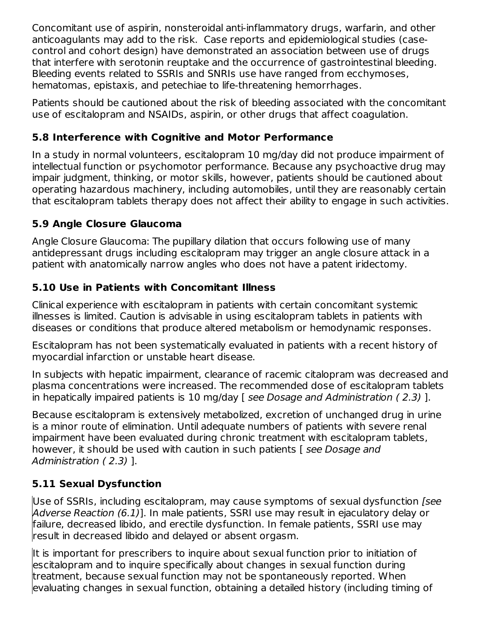Concomitant use of aspirin, nonsteroidal anti-inflammatory drugs, warfarin, and other anticoagulants may add to the risk. Case reports and epidemiological studies (casecontrol and cohort design) have demonstrated an association between use of drugs that interfere with serotonin reuptake and the occurrence of gastrointestinal bleeding. Bleeding events related to SSRIs and SNRIs use have ranged from ecchymoses, hematomas, epistaxis, and petechiae to life-threatening hemorrhages.

Patients should be cautioned about the risk of bleeding associated with the concomitant use of escitalopram and NSAIDs, aspirin, or other drugs that affect coagulation.

### **5.8 Interference with Cognitive and Motor Performance**

In a study in normal volunteers, escitalopram 10 mg/day did not produce impairment of intellectual function or psychomotor performance. Because any psychoactive drug may impair judgment, thinking, or motor skills, however, patients should be cautioned about operating hazardous machinery, including automobiles, until they are reasonably certain that escitalopram tablets therapy does not affect their ability to engage in such activities.

### **5.9 Angle Closure Glaucoma**

Angle Closure Glaucoma: The pupillary dilation that occurs following use of many antidepressant drugs including escitalopram may trigger an angle closure attack in a patient with anatomically narrow angles who does not have a patent iridectomy.

### **5.10 Use in Patients with Concomitant Illness**

Clinical experience with escitalopram in patients with certain concomitant systemic illnesses is limited. Caution is advisable in using escitalopram tablets in patients with diseases or conditions that produce altered metabolism or hemodynamic responses.

Escitalopram has not been systematically evaluated in patients with a recent history of myocardial infarction or unstable heart disease.

In subjects with hepatic impairment, clearance of racemic citalopram was decreased and plasma concentrations were increased. The recommended dose of escitalopram tablets in hepatically impaired patients is 10 mg/day [ see Dosage and Administration ( 2.3) ].

Because escitalopram is extensively metabolized, excretion of unchanged drug in urine is a minor route of elimination. Until adequate numbers of patients with severe renal impairment have been evaluated during chronic treatment with escitalopram tablets, however, it should be used with caution in such patients [see Dosage and Administration ( 2.3) ].

## **5.11 Sexual Dysfunction**

Use of SSRIs, including escitalopram, may cause symptoms of sexual dysfunction [see Adverse Reaction (6.1)]. In male patients, SSRI use may result in ejaculatory delay or failure, decreased libido, and erectile dysfunction. In female patients, SSRI use may result in decreased libido and delayed or absent orgasm.

It is important for prescribers to inquire about sexual function prior to initiation of escitalopram and to inquire specifically about changes in sexual function during treatment, because sexual function may not be spontaneously reported. When evaluating changes in sexual function, obtaining a detailed history (including timing of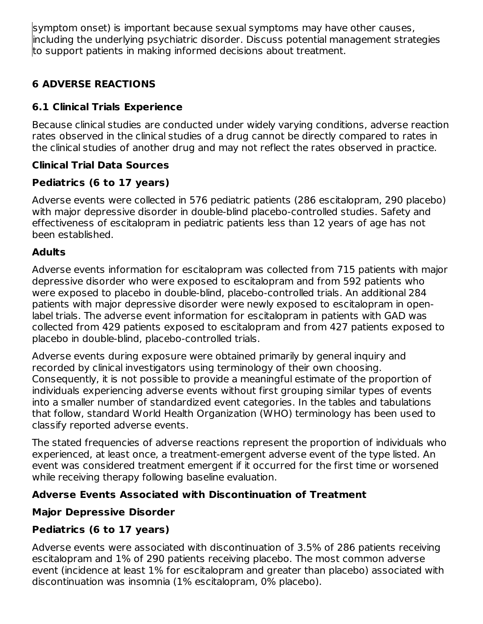symptom onset) is important because sexual symptoms may have other causes, including the underlying psychiatric disorder. Discuss potential management strategies to support patients in making informed decisions about treatment.

### **6 ADVERSE REACTIONS**

### **6.1 Clinical Trials Experience**

Because clinical studies are conducted under widely varying conditions, adverse reaction rates observed in the clinical studies of a drug cannot be directly compared to rates in the clinical studies of another drug and may not reflect the rates observed in practice.

### **Clinical Trial Data Sources**

### **Pediatrics (6 to 17 years)**

Adverse events were collected in 576 pediatric patients (286 escitalopram, 290 placebo) with major depressive disorder in double-blind placebo-controlled studies. Safety and effectiveness of escitalopram in pediatric patients less than 12 years of age has not been established.

### **Adults**

Adverse events information for escitalopram was collected from 715 patients with major depressive disorder who were exposed to escitalopram and from 592 patients who were exposed to placebo in double-blind, placebo-controlled trials. An additional 284 patients with major depressive disorder were newly exposed to escitalopram in openlabel trials. The adverse event information for escitalopram in patients with GAD was collected from 429 patients exposed to escitalopram and from 427 patients exposed to placebo in double-blind, placebo-controlled trials.

Adverse events during exposure were obtained primarily by general inquiry and recorded by clinical investigators using terminology of their own choosing. Consequently, it is not possible to provide a meaningful estimate of the proportion of individuals experiencing adverse events without first grouping similar types of events into a smaller number of standardized event categories. In the tables and tabulations that follow, standard World Health Organization (WHO) terminology has been used to classify reported adverse events.

The stated frequencies of adverse reactions represent the proportion of individuals who experienced, at least once, a treatment-emergent adverse event of the type listed. An event was considered treatment emergent if it occurred for the first time or worsened while receiving therapy following baseline evaluation.

### **Adverse Events Associated with Discontinuation of Treatment**

## **Major Depressive Disorder**

## **Pediatrics (6 to 17 years)**

Adverse events were associated with discontinuation of 3.5% of 286 patients receiving escitalopram and 1% of 290 patients receiving placebo. The most common adverse event (incidence at least 1% for escitalopram and greater than placebo) associated with discontinuation was insomnia (1% escitalopram, 0% placebo).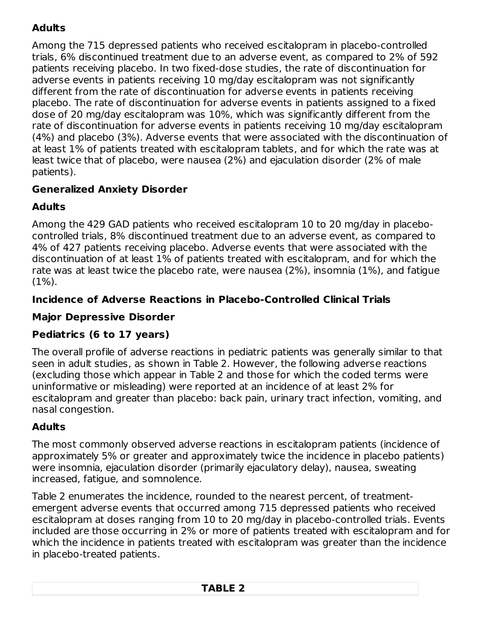## **Adults**

Among the 715 depressed patients who received escitalopram in placebo-controlled trials, 6% discontinued treatment due to an adverse event, as compared to 2% of 592 patients receiving placebo. In two fixed-dose studies, the rate of discontinuation for adverse events in patients receiving 10 mg/day escitalopram was not significantly different from the rate of discontinuation for adverse events in patients receiving placebo. The rate of discontinuation for adverse events in patients assigned to a fixed dose of 20 mg/day escitalopram was 10%, which was significantly different from the rate of discontinuation for adverse events in patients receiving 10 mg/day escitalopram (4%) and placebo (3%). Adverse events that were associated with the discontinuation of at least 1% of patients treated with escitalopram tablets, and for which the rate was at least twice that of placebo, were nausea (2%) and ejaculation disorder (2% of male patients).

### **Generalized Anxiety Disorder**

### **Adults**

Among the 429 GAD patients who received escitalopram 10 to 20 mg/day in placebocontrolled trials, 8% discontinued treatment due to an adverse event, as compared to 4% of 427 patients receiving placebo. Adverse events that were associated with the discontinuation of at least 1% of patients treated with escitalopram, and for which the rate was at least twice the placebo rate, were nausea (2%), insomnia (1%), and fatigue (1%).

### **Incidence of Adverse Reactions in Placebo-Controlled Clinical Trials**

#### **Major Depressive Disorder**

### **Pediatrics (6 to 17 years)**

The overall profile of adverse reactions in pediatric patients was generally similar to that seen in adult studies, as shown in Table 2. However, the following adverse reactions (excluding those which appear in Table 2 and those for which the coded terms were uninformative or misleading) were reported at an incidence of at least 2% for escitalopram and greater than placebo: back pain, urinary tract infection, vomiting, and nasal congestion.

### **Adults**

The most commonly observed adverse reactions in escitalopram patients (incidence of approximately 5% or greater and approximately twice the incidence in placebo patients) were insomnia, ejaculation disorder (primarily ejaculatory delay), nausea, sweating increased, fatigue, and somnolence.

Table 2 enumerates the incidence, rounded to the nearest percent, of treatmentemergent adverse events that occurred among 715 depressed patients who received escitalopram at doses ranging from 10 to 20 mg/day in placebo-controlled trials. Events included are those occurring in 2% or more of patients treated with escitalopram and for which the incidence in patients treated with escitalopram was greater than the incidence in placebo-treated patients.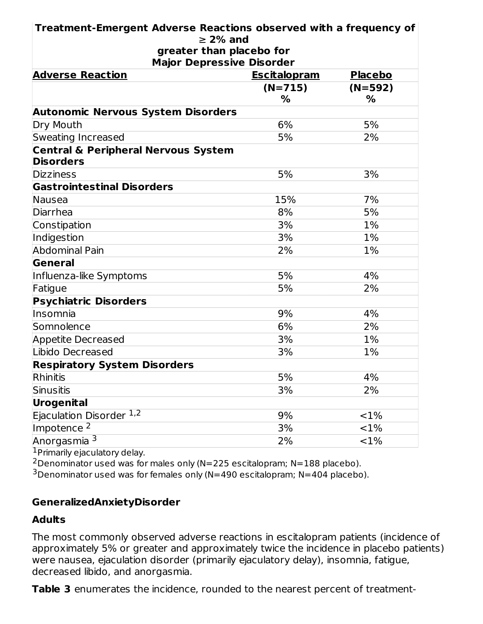| Treatment-Emergent Adverse Reactions observed with a frequency of             |               |           |  |  |  |
|-------------------------------------------------------------------------------|---------------|-----------|--|--|--|
| $\geq$ 2% and<br>greater than placebo for<br><b>Major Depressive Disorder</b> |               |           |  |  |  |
| <b>Adverse Reaction</b><br><b>Escitalopram</b><br><b>Placebo</b>              |               |           |  |  |  |
|                                                                               | $(N=715)$     | $(N=592)$ |  |  |  |
|                                                                               | $\frac{0}{0}$ | $\%$      |  |  |  |
| <b>Autonomic Nervous System Disorders</b>                                     |               |           |  |  |  |
| Dry Mouth                                                                     | 6%            | 5%        |  |  |  |
| <b>Sweating Increased</b>                                                     | 5%            | 2%        |  |  |  |
| <b>Central &amp; Peripheral Nervous System</b><br><b>Disorders</b>            |               |           |  |  |  |
| <b>Dizziness</b>                                                              | 5%            | 3%        |  |  |  |
| <b>Gastrointestinal Disorders</b>                                             |               |           |  |  |  |
| Nausea                                                                        | 15%           | 7%        |  |  |  |
| Diarrhea                                                                      | 8%            | 5%        |  |  |  |
| Constipation                                                                  | 3%            | 1%        |  |  |  |
| Indigestion                                                                   | 3%            | 1%        |  |  |  |
| <b>Abdominal Pain</b>                                                         | 2%            | 1%        |  |  |  |
| General                                                                       |               |           |  |  |  |
| Influenza-like Symptoms                                                       | 5%            | 4%        |  |  |  |
| Fatigue                                                                       | 5%            | 2%        |  |  |  |
| <b>Psychiatric Disorders</b>                                                  |               |           |  |  |  |
| Insomnia                                                                      | 9%            | 4%        |  |  |  |
| Somnolence                                                                    | 6%            | 2%        |  |  |  |
| <b>Appetite Decreased</b>                                                     | 3%            | $1\%$     |  |  |  |
| Libido Decreased                                                              | 3%            | 1%        |  |  |  |
| <b>Respiratory System Disorders</b>                                           |               |           |  |  |  |
| Rhinitis                                                                      | 5%            | 4%        |  |  |  |
| Sinusitis                                                                     | 3%            | 2%        |  |  |  |
| Urogenital                                                                    |               |           |  |  |  |
| Ejaculation Disorder 1,2                                                      | 9%            | <1%       |  |  |  |
| Impotence <sup>2</sup>                                                        | 3%            | <1%       |  |  |  |
| Anorgasmia <sup>3</sup>                                                       | 2%            | <1%       |  |  |  |

<sup>1</sup> Primarily ejaculatory delay.

<sup>2</sup> Denominator used was for males only (N=225 escitalopram; N=188 placebo).

 $3$ Denominator used was for females only (N=490 escitalopram; N=404 placebo).

#### **GeneralizedAnxietyDisorder**

#### **Adults**

The most commonly observed adverse reactions in escitalopram patients (incidence of approximately 5% or greater and approximately twice the incidence in placebo patients) were nausea, ejaculation disorder (primarily ejaculatory delay), insomnia, fatigue, decreased libido, and anorgasmia.

**Table 3** enumerates the incidence, rounded to the nearest percent of treatment-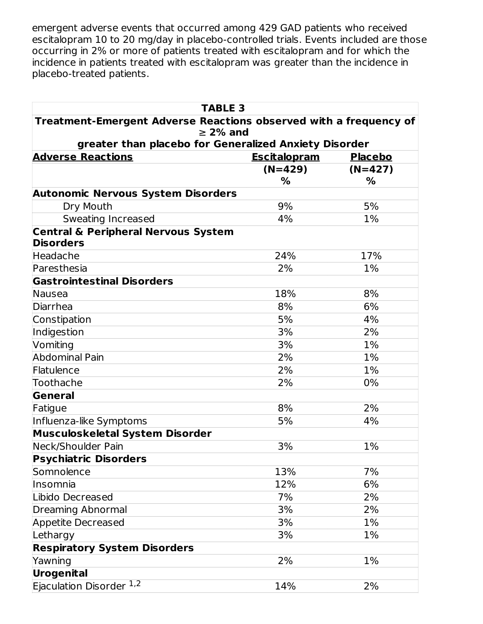emergent adverse events that occurred among 429 GAD patients who received escitalopram 10 to 20 mg/day in placebo-controlled trials. Events included are those occurring in 2% or more of patients treated with escitalopram and for which the incidence in patients treated with escitalopram was greater than the incidence in placebo-treated patients.

| <b>TABLE 3</b>                                                                     |                     |                |  |  |  |
|------------------------------------------------------------------------------------|---------------------|----------------|--|--|--|
| Treatment-Emergent Adverse Reactions observed with a frequency of<br>$\geq$ 2% and |                     |                |  |  |  |
|                                                                                    |                     |                |  |  |  |
| <b>Adverse Reactions</b>                                                           | <b>Escitalopram</b> | <b>Placebo</b> |  |  |  |
|                                                                                    | $(N=429)$           | $(N=427)$      |  |  |  |
|                                                                                    | $\%$                | %              |  |  |  |
| <b>Autonomic Nervous System Disorders</b>                                          |                     |                |  |  |  |
| Dry Mouth                                                                          | 9%                  | 5%             |  |  |  |
| Sweating Increased                                                                 | 4%                  | 1%             |  |  |  |
| <b>Central &amp; Peripheral Nervous System</b>                                     |                     |                |  |  |  |
| <b>Disorders</b>                                                                   |                     |                |  |  |  |
| Headache                                                                           | 24%                 | 17%            |  |  |  |
| Paresthesia                                                                        | 2%                  | 1%             |  |  |  |
| <b>Gastrointestinal Disorders</b>                                                  |                     |                |  |  |  |
| Nausea                                                                             | 18%                 | 8%             |  |  |  |
| Diarrhea                                                                           | 8%                  | 6%             |  |  |  |
| Constipation                                                                       | 5%                  | 4%             |  |  |  |
| Indigestion                                                                        | 3%                  | 2%             |  |  |  |
| Vomiting                                                                           | 3%                  | $1\%$          |  |  |  |
| <b>Abdominal Pain</b>                                                              | 2%                  | $1\%$          |  |  |  |
| Flatulence                                                                         | 2%                  | 1%             |  |  |  |
| Toothache                                                                          | 2%                  | 0%             |  |  |  |
| General                                                                            |                     |                |  |  |  |
| Fatigue                                                                            | 8%                  | 2%             |  |  |  |
| Influenza-like Symptoms                                                            | 5%                  | 4%             |  |  |  |
| <b>Musculoskeletal System Disorder</b>                                             |                     |                |  |  |  |
| Neck/Shoulder Pain                                                                 | 3%                  | 1%             |  |  |  |
| <b>Psychiatric Disorders</b>                                                       |                     |                |  |  |  |
| Somnolence                                                                         | 13%                 | 7%             |  |  |  |
| Insomnia                                                                           | 12%                 | 6%             |  |  |  |
| Libido Decreased                                                                   | 7%                  | 2%             |  |  |  |
| <b>Dreaming Abnormal</b>                                                           | 3%                  | 2%             |  |  |  |
| <b>Appetite Decreased</b>                                                          | 3%                  | 1%             |  |  |  |
| Lethargy                                                                           | 3%                  | 1%             |  |  |  |
| <b>Respiratory System Disorders</b>                                                |                     |                |  |  |  |
| Yawning                                                                            | 2%                  | 1%             |  |  |  |
| Urogenital                                                                         |                     |                |  |  |  |
| Ejaculation Disorder 1,2                                                           | 14%                 | 2%             |  |  |  |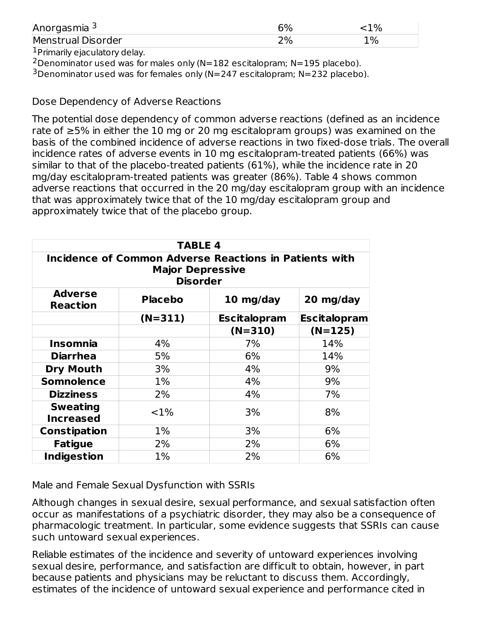| Anorgasmia <sup>3</sup> | 6%<br>L |    |
|-------------------------|---------|----|
| Menstrual Disorder      | 70.     | 1% |
|                         |         |    |

<sup>1</sup> Primarily ejaculatory delay.

 $2$ Denominator used was for males only (N=182 escitalopram; N=195 placebo).

 $3$ Denominator used was for females only (N=247 escitalopram; N=232 placebo).

Dose Dependency of Adverse Reactions

The potential dose dependency of common adverse reactions (defined as an incidence rate of ≥5% in either the 10 mg or 20 mg escitalopram groups) was examined on the basis of the combined incidence of adverse reactions in two fixed-dose trials. The overall incidence rates of adverse events in 10 mg escitalopram-treated patients (66%) was similar to that of the placebo-treated patients (61%), while the incidence rate in 20 mg/day escitalopram-treated patients was greater (86%). Table 4 shows common adverse reactions that occurred in the 20 mg/day escitalopram group with an incidence that was approximately twice that of the 10 mg/day escitalopram group and approximately twice that of the placebo group.

| <b>TABLE 4</b>                                                                                       |           |                     |                     |  |  |
|------------------------------------------------------------------------------------------------------|-----------|---------------------|---------------------|--|--|
| Incidence of Common Adverse Reactions in Patients with<br><b>Major Depressive</b><br><b>Disorder</b> |           |                     |                     |  |  |
| <b>Adverse</b><br><b>Placebo</b><br>10 mg/day<br>20 mg/day<br><b>Reaction</b>                        |           |                     |                     |  |  |
|                                                                                                      | $(N=311)$ | <b>Escitalopram</b> | <b>Escitalopram</b> |  |  |
|                                                                                                      |           | $(N=310)$           | $(N=125)$           |  |  |
| <b>Insomnia</b>                                                                                      | 4%        | 7%                  | 14%                 |  |  |
| <b>Diarrhea</b>                                                                                      | 5%        | 6%                  | 14%                 |  |  |
| <b>Dry Mouth</b>                                                                                     | 3%        | 4%                  | 9%                  |  |  |
| <b>Somnolence</b>                                                                                    | $1\%$     | 4%                  | 9%                  |  |  |
| <b>Dizziness</b>                                                                                     | 2%        | 4%                  | 7%                  |  |  |
| <b>Sweating</b><br><b>Increased</b>                                                                  | ${<}1\%$  | 3%                  | 8%                  |  |  |
| <b>Constipation</b>                                                                                  | $1\%$     | 3%                  | 6%                  |  |  |
| <b>Fatigue</b>                                                                                       | 2%        | 2%                  | 6%                  |  |  |
| <b>Indigestion</b>                                                                                   | $1\%$     | 2%                  | 6%                  |  |  |

Male and Female Sexual Dysfunction with SSRIs

Although changes in sexual desire, sexual performance, and sexual satisfaction often occur as manifestations of a psychiatric disorder, they may also be a consequence of pharmacologic treatment. In particular, some evidence suggests that SSRIs can cause such untoward sexual experiences.

Reliable estimates of the incidence and severity of untoward experiences involving sexual desire, performance, and satisfaction are difficult to obtain, however, in part because patients and physicians may be reluctant to discuss them. Accordingly, estimates of the incidence of untoward sexual experience and performance cited in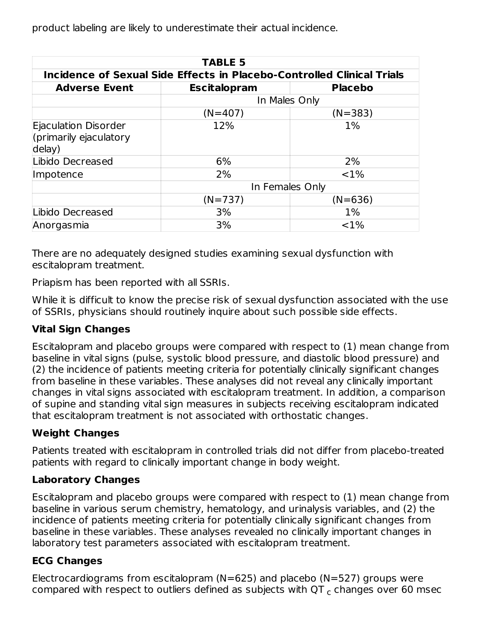product labeling are likely to underestimate their actual incidence.

| <b>TABLE 5</b>                                                         |                        |                 |  |  |  |
|------------------------------------------------------------------------|------------------------|-----------------|--|--|--|
| Incidence of Sexual Side Effects in Placebo-Controlled Clinical Trials |                        |                 |  |  |  |
| <b>Adverse Event</b>                                                   | <b>Escitalopram</b>    | <b>Placebo</b>  |  |  |  |
| In Males Only                                                          |                        |                 |  |  |  |
|                                                                        | $(N=383)$<br>$(N=407)$ |                 |  |  |  |
| Ejaculation Disorder<br>(primarily ejaculatory<br>delay)               | 12%                    | $1\%$           |  |  |  |
| Libido Decreased                                                       | 6%                     | 2%              |  |  |  |
| Impotence                                                              | 2%                     | $< 1\%$         |  |  |  |
|                                                                        |                        | In Females Only |  |  |  |
|                                                                        | $(N=737)$              | $(N=636)$       |  |  |  |
| Libido Decreased                                                       | 3%                     | $1\%$           |  |  |  |
| Anorgasmia                                                             | 3%                     | $< 1\%$         |  |  |  |

There are no adequately designed studies examining sexual dysfunction with escitalopram treatment.

Priapism has been reported with all SSRIs.

While it is difficult to know the precise risk of sexual dysfunction associated with the use of SSRIs, physicians should routinely inquire about such possible side effects.

#### **Vital Sign Changes**

Escitalopram and placebo groups were compared with respect to (1) mean change from baseline in vital signs (pulse, systolic blood pressure, and diastolic blood pressure) and (2) the incidence of patients meeting criteria for potentially clinically significant changes from baseline in these variables. These analyses did not reveal any clinically important changes in vital signs associated with escitalopram treatment. In addition, a comparison of supine and standing vital sign measures in subjects receiving escitalopram indicated that escitalopram treatment is not associated with orthostatic changes.

#### **Weight Changes**

Patients treated with escitalopram in controlled trials did not differ from placebo-treated patients with regard to clinically important change in body weight.

#### **Laboratory Changes**

Escitalopram and placebo groups were compared with respect to (1) mean change from baseline in various serum chemistry, hematology, and urinalysis variables, and (2) the incidence of patients meeting criteria for potentially clinically significant changes from baseline in these variables. These analyses revealed no clinically important changes in laboratory test parameters associated with escitalopram treatment.

#### **ECG Changes**

Electrocardiograms from escitalopram ( $N=625$ ) and placebo ( $N=527$ ) groups were compared with respect to outliers defined as subjects with QT  $_c$  changes over 60 msec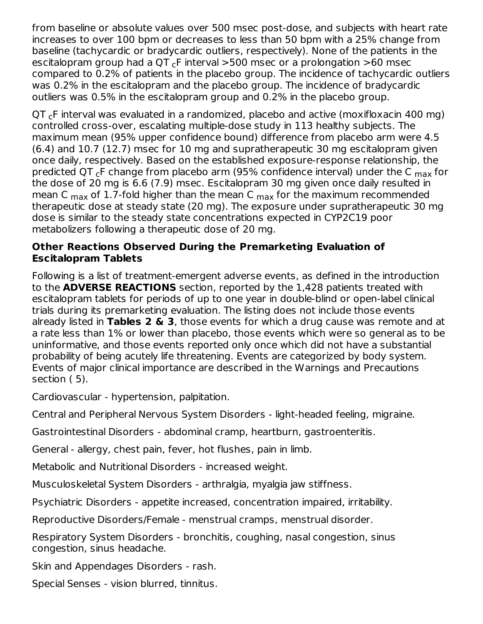from baseline or absolute values over 500 msec post-dose, and subjects with heart rate increases to over 100 bpm or decreases to less than 50 bpm with a 25% change from baseline (tachycardic or bradycardic outliers, respectively). None of the patients in the escitalopram group had a QT  $_{\mathsf{c}}$ F interval >500 msec or a prolongation >60 msec compared to 0.2% of patients in the placebo group. The incidence of tachycardic outliers was 0.2% in the escitalopram and the placebo group. The incidence of bradycardic outliers was 0.5% in the escitalopram group and 0.2% in the placebo group. **communication** 

 $\textsf{QT}_{\textsf{c}}$ F interval was evaluated in a randomized, placebo and active (moxifloxacin 400 mg) controlled cross-over, escalating multiple-dose study in 113 healthy subjects. The maximum mean (95% upper confidence bound) difference from placebo arm were 4.5 (6.4) and 10.7 (12.7) msec for 10 mg and supratherapeutic 30 mg escitalopram given once daily, respectively. Based on the established exposure-response relationship, the predicted QT <sub>c</sub>F change from placebo arm (95% confidence interval) under the C <sub>max</sub> for the dose of 20 mg is 6.6 (7.9) msec. Escitalopram 30 mg given once daily resulted in mean C  $_{\text{max}}$  of 1.7-fold higher than the mean C  $_{\text{max}}$  for the maximum recommended therapeutic dose at steady state (20 mg). The exposure under supratherapeutic 30 mg dose is similar to the steady state concentrations expected in CYP2C19 poor metabolizers following a therapeutic dose of 20 mg.

#### **Other Reactions Observed During the Premarketing Evaluation of Escitalopram Tablets**

Following is a list of treatment-emergent adverse events, as defined in the introduction to the **ADVERSE REACTIONS** section, reported by the 1,428 patients treated with escitalopram tablets for periods of up to one year in double-blind or open-label clinical trials during its premarketing evaluation. The listing does not include those events already listed in **Tables 2 & 3**, those events for which a drug cause was remote and at a rate less than 1% or lower than placebo, those events which were so general as to be uninformative, and those events reported only once which did not have a substantial probability of being acutely life threatening. Events are categorized by body system. Events of major clinical importance are described in the Warnings and Precautions section ( 5).

Cardiovascular - hypertension, palpitation.

Central and Peripheral Nervous System Disorders - light-headed feeling, migraine.

Gastrointestinal Disorders - abdominal cramp, heartburn, gastroenteritis.

General - allergy, chest pain, fever, hot flushes, pain in limb.

Metabolic and Nutritional Disorders - increased weight.

Musculoskeletal System Disorders - arthralgia, myalgia jaw stiffness.

Psychiatric Disorders - appetite increased, concentration impaired, irritability.

Reproductive Disorders/Female - menstrual cramps, menstrual disorder.

Respiratory System Disorders - bronchitis, coughing, nasal congestion, sinus congestion, sinus headache.

Skin and Appendages Disorders - rash.

Special Senses - vision blurred, tinnitus.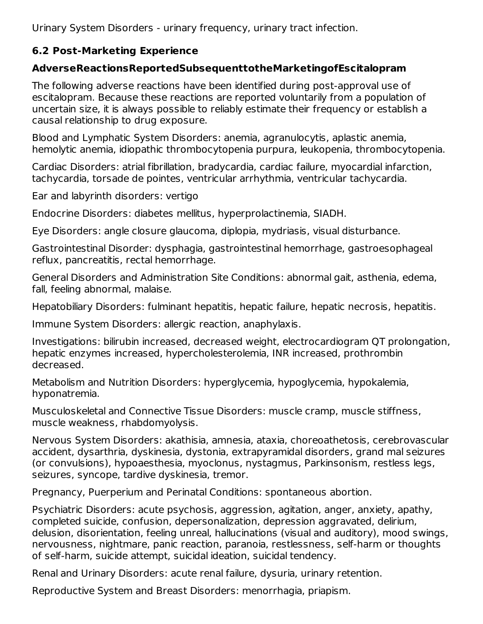Urinary System Disorders - urinary frequency, urinary tract infection.

### **6.2 Post-Marketing Experience**

### **AdverseReactionsReportedSubsequenttotheMarketingofEscitalopram**

The following adverse reactions have been identified during post-approval use of escitalopram. Because these reactions are reported voluntarily from a population of uncertain size, it is always possible to reliably estimate their frequency or establish a causal relationship to drug exposure.

Blood and Lymphatic System Disorders: anemia, agranulocytis, aplastic anemia, hemolytic anemia, idiopathic thrombocytopenia purpura, leukopenia, thrombocytopenia.

Cardiac Disorders: atrial fibrillation, bradycardia, cardiac failure, myocardial infarction, tachycardia, torsade de pointes, ventricular arrhythmia, ventricular tachycardia.

Ear and labyrinth disorders: vertigo

Endocrine Disorders: diabetes mellitus, hyperprolactinemia, SIADH.

Eye Disorders: angle closure glaucoma, diplopia, mydriasis, visual disturbance.

Gastrointestinal Disorder: dysphagia, gastrointestinal hemorrhage, gastroesophageal reflux, pancreatitis, rectal hemorrhage.

General Disorders and Administration Site Conditions: abnormal gait, asthenia, edema, fall, feeling abnormal, malaise.

Hepatobiliary Disorders: fulminant hepatitis, hepatic failure, hepatic necrosis, hepatitis.

Immune System Disorders: allergic reaction, anaphylaxis.

Investigations: bilirubin increased, decreased weight, electrocardiogram QT prolongation, hepatic enzymes increased, hypercholesterolemia, INR increased, prothrombin decreased.

Metabolism and Nutrition Disorders: hyperglycemia, hypoglycemia, hypokalemia, hyponatremia.

Musculoskeletal and Connective Tissue Disorders: muscle cramp, muscle stiffness, muscle weakness, rhabdomyolysis.

Nervous System Disorders: akathisia, amnesia, ataxia, choreoathetosis, cerebrovascular accident, dysarthria, dyskinesia, dystonia, extrapyramidal disorders, grand mal seizures (or convulsions), hypoaesthesia, myoclonus, nystagmus, Parkinsonism, restless legs, seizures, syncope, tardive dyskinesia, tremor.

Pregnancy, Puerperium and Perinatal Conditions: spontaneous abortion.

Psychiatric Disorders: acute psychosis, aggression, agitation, anger, anxiety, apathy, completed suicide, confusion, depersonalization, depression aggravated, delirium, delusion, disorientation, feeling unreal, hallucinations (visual and auditory), mood swings, nervousness, nightmare, panic reaction, paranoia, restlessness, self-harm or thoughts of self-harm, suicide attempt, suicidal ideation, suicidal tendency.

Renal and Urinary Disorders: acute renal failure, dysuria, urinary retention.

Reproductive System and Breast Disorders: menorrhagia, priapism.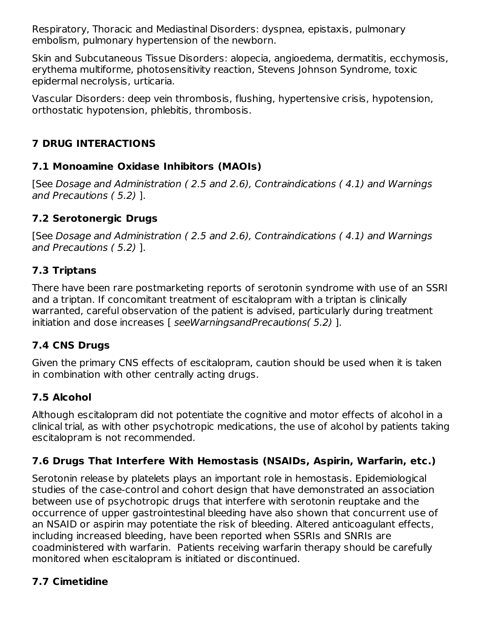Respiratory, Thoracic and Mediastinal Disorders: dyspnea, epistaxis, pulmonary embolism, pulmonary hypertension of the newborn.

Skin and Subcutaneous Tissue Disorders: alopecia, angioedema, dermatitis, ecchymosis, erythema multiforme, photosensitivity reaction, Stevens Johnson Syndrome, toxic epidermal necrolysis, urticaria.

Vascular Disorders: deep vein thrombosis, flushing, hypertensive crisis, hypotension, orthostatic hypotension, phlebitis, thrombosis.

### **7 DRUG INTERACTIONS**

### **7.1 Monoamine Oxidase Inhibitors (MAOIs)**

[See Dosage and Administration ( 2.5 and 2.6), Contraindications ( 4.1) and Warnings and Precautions ( 5.2) ].

### **7.2 Serotonergic Drugs**

[See Dosage and Administration ( 2.5 and 2.6), Contraindications ( 4.1) and Warnings and Precautions ( 5.2) ].

#### **7.3 Triptans**

There have been rare postmarketing reports of serotonin syndrome with use of an SSRI and a triptan. If concomitant treatment of escitalopram with a triptan is clinically warranted, careful observation of the patient is advised, particularly during treatment initiation and dose increases [ seeWarningsandPrecautions( 5.2) ].

### **7.4 CNS Drugs**

Given the primary CNS effects of escitalopram, caution should be used when it is taken in combination with other centrally acting drugs.

### **7.5 Alcohol**

Although escitalopram did not potentiate the cognitive and motor effects of alcohol in a clinical trial, as with other psychotropic medications, the use of alcohol by patients taking escitalopram is not recommended.

### **7.6 Drugs That Interfere With Hemostasis (NSAIDs, Aspirin, Warfarin, etc.)**

Serotonin release by platelets plays an important role in hemostasis. Epidemiological studies of the case-control and cohort design that have demonstrated an association between use of psychotropic drugs that interfere with serotonin reuptake and the occurrence of upper gastrointestinal bleeding have also shown that concurrent use of an NSAID or aspirin may potentiate the risk of bleeding. Altered anticoagulant effects, including increased bleeding, have been reported when SSRIs and SNRIs are coadministered with warfarin. Patients receiving warfarin therapy should be carefully monitored when escitalopram is initiated or discontinued.

### **7.7 Cimetidine**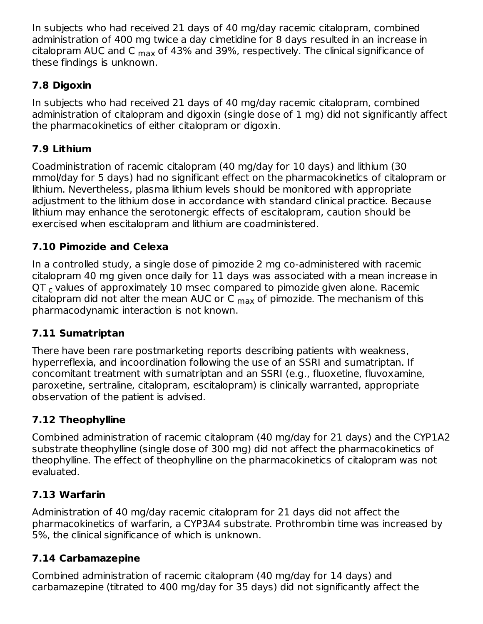In subjects who had received 21 days of 40 mg/day racemic citalopram, combined administration of 400 mg twice a day cimetidine for 8 days resulted in an increase in citalopram AUC and C <sub>max</sub> of 43% and 39%, respectively. The clinical significance of these findings is unknown.

### **7.8 Digoxin**

In subjects who had received 21 days of 40 mg/day racemic citalopram, combined administration of citalopram and digoxin (single dose of 1 mg) did not significantly affect the pharmacokinetics of either citalopram or digoxin.

### **7.9 Lithium**

Coadministration of racemic citalopram (40 mg/day for 10 days) and lithium (30 mmol/day for 5 days) had no significant effect on the pharmacokinetics of citalopram or lithium. Nevertheless, plasma lithium levels should be monitored with appropriate adjustment to the lithium dose in accordance with standard clinical practice. Because lithium may enhance the serotonergic effects of escitalopram, caution should be exercised when escitalopram and lithium are coadministered.

### **7.10 Pimozide and Celexa**

In a controlled study, a single dose of pimozide 2 mg co-administered with racemic citalopram 40 mg given once daily for 11 days was associated with a mean increase in  $\textsf{QT}_\textsf{c}$  values of approximately 10 msec compared to pimozide given alone. Racemic citalopram did not alter the mean AUC or C  $_{\sf max}$  of pimozide. The mechanism of this pharmacodynamic interaction is not known.

#### **7.11 Sumatriptan**

There have been rare postmarketing reports describing patients with weakness, hyperreflexia, and incoordination following the use of an SSRI and sumatriptan. If concomitant treatment with sumatriptan and an SSRI (e.g., fluoxetine, fluvoxamine, paroxetine, sertraline, citalopram, escitalopram) is clinically warranted, appropriate observation of the patient is advised.

### **7.12 Theophylline**

Combined administration of racemic citalopram (40 mg/day for 21 days) and the CYP1A2 substrate theophylline (single dose of 300 mg) did not affect the pharmacokinetics of theophylline. The effect of theophylline on the pharmacokinetics of citalopram was not evaluated.

#### **7.13 Warfarin**

Administration of 40 mg/day racemic citalopram for 21 days did not affect the pharmacokinetics of warfarin, a CYP3A4 substrate. Prothrombin time was increased by 5%, the clinical significance of which is unknown.

#### **7.14 Carbamazepine**

Combined administration of racemic citalopram (40 mg/day for 14 days) and carbamazepine (titrated to 400 mg/day for 35 days) did not significantly affect the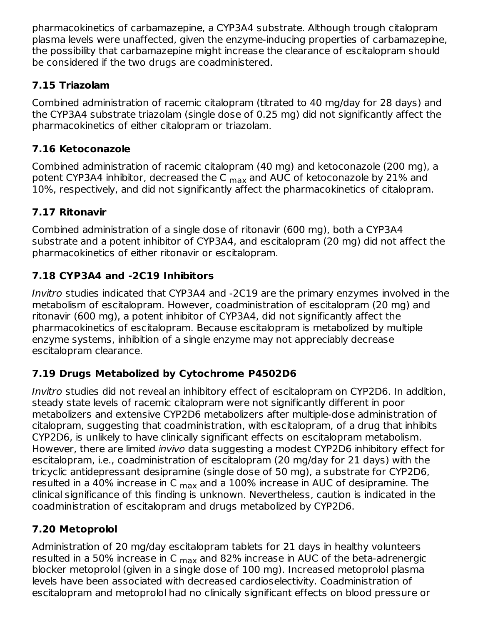pharmacokinetics of carbamazepine, a CYP3A4 substrate. Although trough citalopram plasma levels were unaffected, given the enzyme-inducing properties of carbamazepine, the possibility that carbamazepine might increase the clearance of escitalopram should be considered if the two drugs are coadministered.

### **7.15 Triazolam**

Combined administration of racemic citalopram (titrated to 40 mg/day for 28 days) and the CYP3A4 substrate triazolam (single dose of 0.25 mg) did not significantly affect the pharmacokinetics of either citalopram or triazolam.

### **7.16 Ketoconazole**

Combined administration of racemic citalopram (40 mg) and ketoconazole (200 mg), a potent CYP3A4 inhibitor, decreased the C <sub>max</sub> and AUC of ketoconazole by 21% and 10%, respectively, and did not significantly affect the pharmacokinetics of citalopram.

## **7.17 Ritonavir**

Combined administration of a single dose of ritonavir (600 mg), both a CYP3A4 substrate and a potent inhibitor of CYP3A4, and escitalopram (20 mg) did not affect the pharmacokinetics of either ritonavir or escitalopram.

## **7.18 CYP3A4 and -2C19 Inhibitors**

Invitro studies indicated that CYP3A4 and -2C19 are the primary enzymes involved in the metabolism of escitalopram. However, coadministration of escitalopram (20 mg) and ritonavir (600 mg), a potent inhibitor of CYP3A4, did not significantly affect the pharmacokinetics of escitalopram. Because escitalopram is metabolized by multiple enzyme systems, inhibition of a single enzyme may not appreciably decrease escitalopram clearance.

## **7.19 Drugs Metabolized by Cytochrome P4502D6**

Invitro studies did not reveal an inhibitory effect of escitalopram on CYP2D6. In addition, steady state levels of racemic citalopram were not significantly different in poor metabolizers and extensive CYP2D6 metabolizers after multiple-dose administration of citalopram, suggesting that coadministration, with escitalopram, of a drug that inhibits CYP2D6, is unlikely to have clinically significant effects on escitalopram metabolism. However, there are limited invivo data suggesting a modest CYP2D6 inhibitory effect for escitalopram, i.e., coadministration of escitalopram (20 mg/day for 21 days) with the tricyclic antidepressant desipramine (single dose of 50 mg), a substrate for CYP2D6, resulted in a 40% increase in C  $_{\sf max}$  and a 100% increase in AUC of desipramine. The clinical significance of this finding is unknown. Nevertheless, caution is indicated in the coadministration of escitalopram and drugs metabolized by CYP2D6.

## **7.20 Metoprolol**

Administration of 20 mg/day escitalopram tablets for 21 days in healthy volunteers resulted in a 50% increase in C <sub>max</sub> and 82% increase in AUC of the beta-adrenergic blocker metoprolol (given in a single dose of 100 mg). Increased metoprolol plasma levels have been associated with decreased cardioselectivity. Coadministration of escitalopram and metoprolol had no clinically significant effects on blood pressure or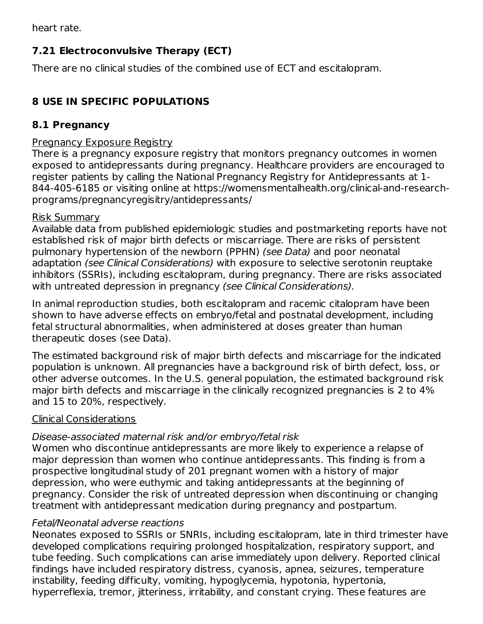heart rate.

### **7.21 Electroconvulsive Therapy (ECT)**

There are no clinical studies of the combined use of ECT and escitalopram.

### **8 USE IN SPECIFIC POPULATIONS**

#### **8.1 Pregnancy**

#### Pregnancy Exposure Registry

There is a pregnancy exposure registry that monitors pregnancy outcomes in women exposed to antidepressants during pregnancy. Healthcare providers are encouraged to register patients by calling the National Pregnancy Registry for Antidepressants at 1- 844-405-6185 or visiting online at https://womensmentalhealth.org/clinical-and-researchprograms/pregnancyregisitry/antidepressants/

#### Risk Summary

Available data from published epidemiologic studies and postmarketing reports have not established risk of major birth defects or miscarriage. There are risks of persistent pulmonary hypertension of the newborn (PPHN) (see Data) and poor neonatal adaptation (see Clinical Considerations) with exposure to selective serotonin reuptake inhibitors (SSRIs), including escitalopram, during pregnancy. There are risks associated with untreated depression in pregnancy (see Clinical Considerations).

In animal reproduction studies, both escitalopram and racemic citalopram have been shown to have adverse effects on embryo/fetal and postnatal development, including fetal structural abnormalities, when administered at doses greater than human therapeutic doses (see Data).

The estimated background risk of major birth defects and miscarriage for the indicated population is unknown. All pregnancies have a background risk of birth defect, loss, or other adverse outcomes. In the U.S. general population, the estimated background risk major birth defects and miscarriage in the clinically recognized pregnancies is 2 to 4% and 15 to 20%, respectively.

#### Clinical Considerations

#### Disease-associated maternal risk and/or embryo/fetal risk

Women who discontinue antidepressants are more likely to experience a relapse of major depression than women who continue antidepressants. This finding is from a prospective longitudinal study of 201 pregnant women with a history of major depression, who were euthymic and taking antidepressants at the beginning of pregnancy. Consider the risk of untreated depression when discontinuing or changing treatment with antidepressant medication during pregnancy and postpartum.

#### Fetal/Neonatal adverse reactions

Neonates exposed to SSRIs or SNRIs, including escitalopram, late in third trimester have developed complications requiring prolonged hospitalization, respiratory support, and tube feeding. Such complications can arise immediately upon delivery. Reported clinical findings have included respiratory distress, cyanosis, apnea, seizures, temperature instability, feeding difficulty, vomiting, hypoglycemia, hypotonia, hypertonia, hyperreflexia, tremor, jitteriness, irritability, and constant crying. These features are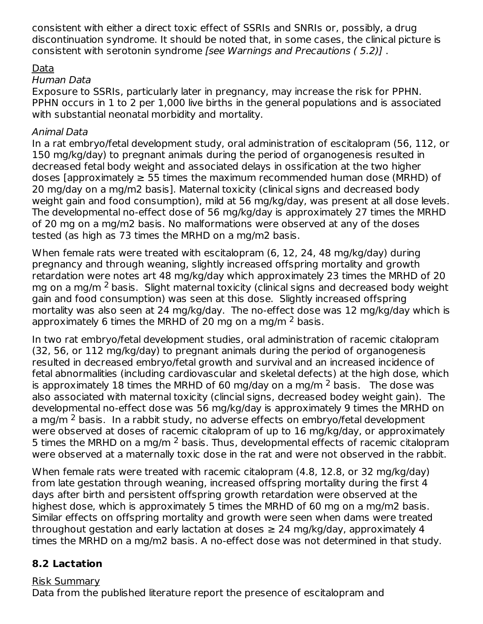consistent with either a direct toxic effect of SSRIs and SNRIs or, possibly, a drug discontinuation syndrome. It should be noted that, in some cases, the clinical picture is consistent with serotonin syndrome [see Warnings and Precautions ( 5.2)] .

#### Data

#### Human Data

Exposure to SSRIs, particularly later in pregnancy, may increase the risk for PPHN. PPHN occurs in 1 to 2 per 1,000 live births in the general populations and is associated with substantial neonatal morbidity and mortality.

#### Animal Data

In a rat embryo/fetal development study, oral administration of escitalopram (56, 112, or 150 mg/kg/day) to pregnant animals during the period of organogenesis resulted in decreased fetal body weight and associated delays in ossification at the two higher doses [approximately  $\geq$  55 times the maximum recommended human dose (MRHD) of 20 mg/day on a mg/m2 basis]. Maternal toxicity (clinical signs and decreased body weight gain and food consumption), mild at 56 mg/kg/day, was present at all dose levels. The developmental no-effect dose of 56 mg/kg/day is approximately 27 times the MRHD of 20 mg on a mg/m2 basis. No malformations were observed at any of the doses tested (as high as 73 times the MRHD on a mg/m2 basis.

When female rats were treated with escitalopram (6, 12, 24, 48 mg/kg/day) during pregnancy and through weaning, slightly increased offspring mortality and growth retardation were notes art 48 mg/kg/day which approximately 23 times the MRHD of 20 mg on a mg/m <sup>2</sup> basis. Slight maternal toxicity (clinical signs and decreased body weight gain and food consumption) was seen at this dose. Slightly increased offspring mortality was also seen at 24 mg/kg/day. The no-effect dose was 12 mg/kg/day which is approximately 6 times the MRHD of 20 mg on a mg/m  $^2$  basis.

In two rat embryo/fetal development studies, oral administration of racemic citalopram (32, 56, or 112 mg/kg/day) to pregnant animals during the period of organogenesis resulted in decreased embryo/fetal growth and survival and an increased incidence of fetal abnormalities (including cardiovascular and skeletal defects) at the high dose, which is approximately 18 times the MRHD of 60 mg/day on a mg/m  $^2$  basis. The dose was also associated with maternal toxicity (clincial signs, decreased bodey weight gain). The developmental no-effect dose was 56 mg/kg/day is approximately 9 times the MRHD on a mg/m <sup>2</sup> basis. In a rabbit study, no adverse effects on embryo/fetal development were observed at doses of racemic citalopram of up to 16 mg/kg/day, or approximately 5 times the MRHD on a mg/m  $^2$  basis. Thus, developmental effects of racemic citalopram were observed at a maternally toxic dose in the rat and were not observed in the rabbit.

When female rats were treated with racemic citalopram (4.8, 12.8, or 32 mg/kg/day) from late gestation through weaning, increased offspring mortality during the first 4 days after birth and persistent offspring growth retardation were observed at the highest dose, which is approximately 5 times the MRHD of 60 mg on a mg/m2 basis. Similar effects on offspring mortality and growth were seen when dams were treated throughout gestation and early lactation at doses  $\geq 24$  mg/kg/day, approximately 4 times the MRHD on a mg/m2 basis. A no-effect dose was not determined in that study.

### **8.2 Lactation**

Risk Summary Data from the published literature report the presence of escitalopram and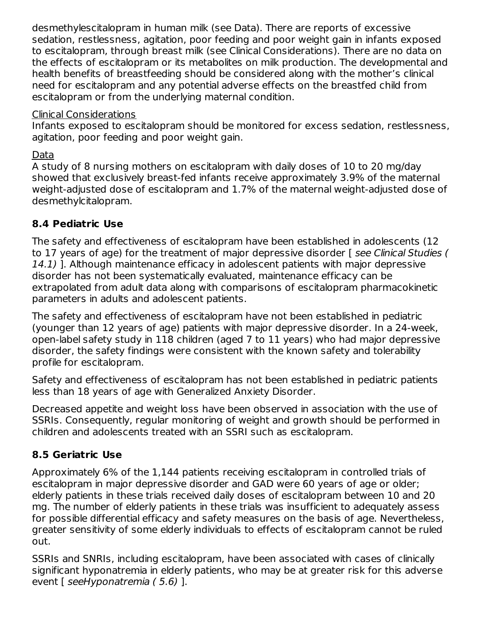desmethylescitalopram in human milk (see Data). There are reports of excessive sedation, restlessness, agitation, poor feeding and poor weight gain in infants exposed to escitalopram, through breast milk (see Clinical Considerations). There are no data on the effects of escitalopram or its metabolites on milk production. The developmental and health benefits of breastfeeding should be considered along with the mother's clinical need for escitalopram and any potential adverse effects on the breastfed child from escitalopram or from the underlying maternal condition.

#### Clinical Considerations

Infants exposed to escitalopram should be monitored for excess sedation, restlessness, agitation, poor feeding and poor weight gain.

#### Data

A study of 8 nursing mothers on escitalopram with daily doses of 10 to 20 mg/day showed that exclusively breast-fed infants receive approximately 3.9% of the maternal weight-adjusted dose of escitalopram and 1.7% of the maternal weight-adjusted dose of desmethylcitalopram.

### **8.4 Pediatric Use**

The safety and effectiveness of escitalopram have been established in adolescents (12 to 17 years of age) for the treatment of major depressive disorder [ see Clinical Studies ( 14.1) ]. Although maintenance efficacy in adolescent patients with major depressive disorder has not been systematically evaluated, maintenance efficacy can be extrapolated from adult data along with comparisons of escitalopram pharmacokinetic parameters in adults and adolescent patients.

The safety and effectiveness of escitalopram have not been established in pediatric (younger than 12 years of age) patients with major depressive disorder. In a 24-week, open-label safety study in 118 children (aged 7 to 11 years) who had major depressive disorder, the safety findings were consistent with the known safety and tolerability profile for escitalopram.

Safety and effectiveness of escitalopram has not been established in pediatric patients less than 18 years of age with Generalized Anxiety Disorder.

Decreased appetite and weight loss have been observed in association with the use of SSRIs. Consequently, regular monitoring of weight and growth should be performed in children and adolescents treated with an SSRI such as escitalopram.

### **8.5 Geriatric Use**

Approximately 6% of the 1,144 patients receiving escitalopram in controlled trials of escitalopram in major depressive disorder and GAD were 60 years of age or older; elderly patients in these trials received daily doses of escitalopram between 10 and 20 mg. The number of elderly patients in these trials was insufficient to adequately assess for possible differential efficacy and safety measures on the basis of age. Nevertheless, greater sensitivity of some elderly individuals to effects of escitalopram cannot be ruled out.

SSRIs and SNRIs, including escitalopram, have been associated with cases of clinically significant hyponatremia in elderly patients, who may be at greater risk for this adverse event [ seeHyponatremia ( 5.6) ].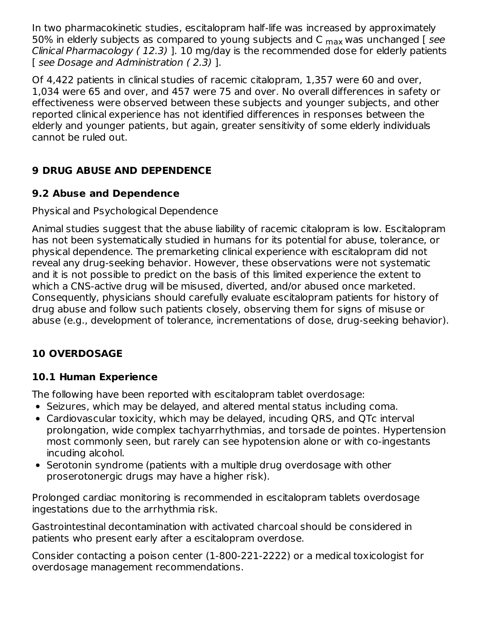In two pharmacokinetic studies, escitalopram half-life was increased by approximately 50% in elderly subjects as compared to young subjects and C <sub>max</sub> was unchanged [ *see* Clinical Pharmacology ( 12.3) ]. 10 mg/day is the recommended dose for elderly patients [ see Dosage and Administration (2.3) ].

Of 4,422 patients in clinical studies of racemic citalopram, 1,357 were 60 and over, 1,034 were 65 and over, and 457 were 75 and over. No overall differences in safety or effectiveness were observed between these subjects and younger subjects, and other reported clinical experience has not identified differences in responses between the elderly and younger patients, but again, greater sensitivity of some elderly individuals cannot be ruled out.

### **9 DRUG ABUSE AND DEPENDENCE**

#### **9.2 Abuse and Dependence**

#### Physical and Psychological Dependence

Animal studies suggest that the abuse liability of racemic citalopram is low. Escitalopram has not been systematically studied in humans for its potential for abuse, tolerance, or physical dependence. The premarketing clinical experience with escitalopram did not reveal any drug-seeking behavior. However, these observations were not systematic and it is not possible to predict on the basis of this limited experience the extent to which a CNS-active drug will be misused, diverted, and/or abused once marketed. Consequently, physicians should carefully evaluate escitalopram patients for history of drug abuse and follow such patients closely, observing them for signs of misuse or abuse (e.g., development of tolerance, incrementations of dose, drug-seeking behavior).

### **10 OVERDOSAGE**

#### **10.1 Human Experience**

The following have been reported with escitalopram tablet overdosage:

- Seizures, which may be delayed, and altered mental status including coma.
- Cardiovascular toxicity, which may be delayed, incuding QRS, and QTc interval prolongation, wide complex tachyarrhythmias, and torsade de pointes. Hypertension most commonly seen, but rarely can see hypotension alone or with co-ingestants incuding alcohol.
- Serotonin syndrome (patients with a multiple drug overdosage with other proserotonergic drugs may have a higher risk).

Prolonged cardiac monitoring is recommended in escitalopram tablets overdosage ingestations due to the arrhythmia risk.

Gastrointestinal decontamination with activated charcoal should be considered in patients who present early after a escitalopram overdose.

Consider contacting a poison center (1-800-221-2222) or a medical toxicologist for overdosage management recommendations.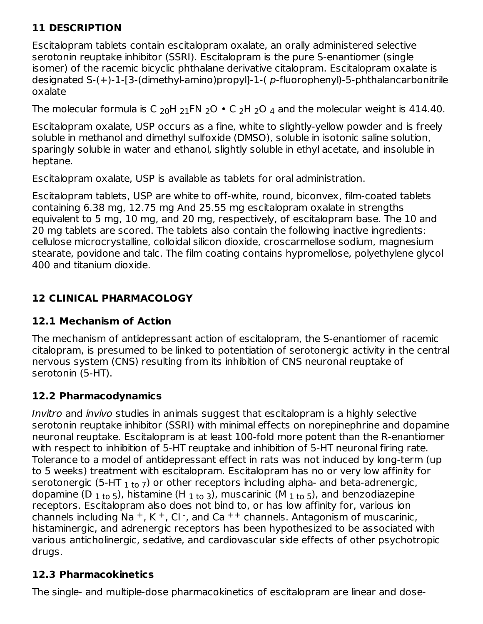### **11 DESCRIPTION**

Escitalopram tablets contain escitalopram oxalate, an orally administered selective serotonin reuptake inhibitor (SSRI). Escitalopram is the pure S-enantiomer (single isomer) of the racemic bicyclic phthalane derivative citalopram. Escitalopram oxalate is designated S-(+)-1-[3-(dimethyl-amino)propyl]-1-( p-fluorophenyl)-5-phthalancarbonitrile oxalate

The molecular formula is C  $_{20}$ H  $_{21}$ FN  $_{2}$ O  $\bullet$  C  $_{2}$ H  $_{2}$ O  $_{4}$  and the molecular weight is 414.40.

Escitalopram oxalate, USP occurs as a fine, white to slightly-yellow powder and is freely soluble in methanol and dimethyl sulfoxide (DMSO), soluble in isotonic saline solution, sparingly soluble in water and ethanol, slightly soluble in ethyl acetate, and insoluble in heptane.

Escitalopram oxalate, USP is available as tablets for oral administration.

Escitalopram tablets, USP are white to off-white, round, biconvex, film-coated tablets containing 6.38 mg, 12.75 mg And 25.55 mg escitalopram oxalate in strengths equivalent to 5 mg, 10 mg, and 20 mg, respectively, of escitalopram base. The 10 and 20 mg tablets are scored. The tablets also contain the following inactive ingredients: cellulose microcrystalline, colloidal silicon dioxide, croscarmellose sodium, magnesium stearate, povidone and talc. The film coating contains hypromellose, polyethylene glycol 400 and titanium dioxide.

## **12 CLINICAL PHARMACOLOGY**

### **12.1 Mechanism of Action**

The mechanism of antidepressant action of escitalopram, the S-enantiomer of racemic citalopram, is presumed to be linked to potentiation of serotonergic activity in the central nervous system (CNS) resulting from its inhibition of CNS neuronal reuptake of serotonin (5-HT).

## **12.2 Pharmacodynamics**

Invitro and invivo studies in animals suggest that escitalopram is a highly selective serotonin reuptake inhibitor (SSRI) with minimal effects on norepinephrine and dopamine neuronal reuptake. Escitalopram is at least 100-fold more potent than the R-enantiomer with respect to inhibition of 5-HT reuptake and inhibition of 5-HT neuronal firing rate. Tolerance to a model of antidepressant effect in rats was not induced by long-term (up to 5 weeks) treatment with escitalopram. Escitalopram has no or very low affinity for serotonergic (5-HT  $_{\rm 1\,to\,7}$ ) or other receptors including alpha- and beta-adrenergic, dopamine (D  $_{\rm 1 \, to \, 5}$ ), histamine (H  $_{\rm 1 \, to \, 3}$ ), muscarinic (M  $_{\rm 1 \, to \, 5}$ ), and benzodiazepine receptors. Escitalopram also does not bind to, or has low affinity for, various ion channels including Na  $^+$ , K  $^+$ , Cl  $\cdot$ , and Ca  $^{++}$  channels. Antagonism of muscarinic, histaminergic, and adrenergic receptors has been hypothesized to be associated with various anticholinergic, sedative, and cardiovascular side effects of other psychotropic drugs.

## **12.3 Pharmacokinetics**

The single- and multiple-dose pharmacokinetics of escitalopram are linear and dose-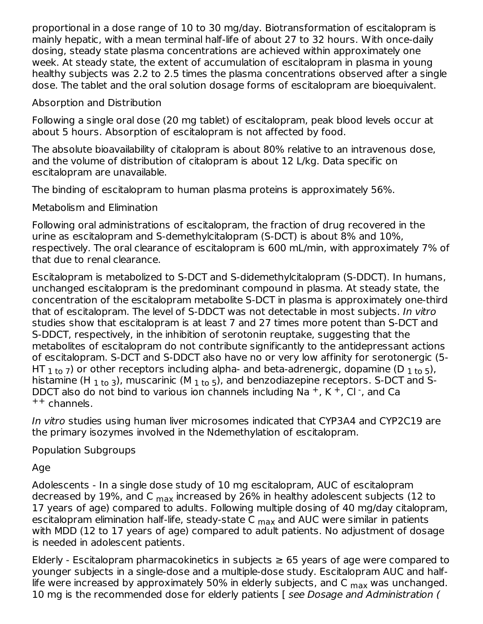proportional in a dose range of 10 to 30 mg/day. Biotransformation of escitalopram is mainly hepatic, with a mean terminal half-life of about 27 to 32 hours. With once-daily dosing, steady state plasma concentrations are achieved within approximately one week. At steady state, the extent of accumulation of escitalopram in plasma in young healthy subjects was 2.2 to 2.5 times the plasma concentrations observed after a single dose. The tablet and the oral solution dosage forms of escitalopram are bioequivalent.

Absorption and Distribution

Following a single oral dose (20 mg tablet) of escitalopram, peak blood levels occur at about 5 hours. Absorption of escitalopram is not affected by food.

The absolute bioavailability of citalopram is about 80% relative to an intravenous dose, and the volume of distribution of citalopram is about 12 L/kg. Data specific on escitalopram are unavailable.

The binding of escitalopram to human plasma proteins is approximately 56%.

Metabolism and Elimination

Following oral administrations of escitalopram, the fraction of drug recovered in the urine as escitalopram and S-demethylcitalopram (S-DCT) is about 8% and 10%, respectively. The oral clearance of escitalopram is 600 mL/min, with approximately 7% of that due to renal clearance.

Escitalopram is metabolized to S-DCT and S-didemethylcitalopram (S-DDCT). In humans, unchanged escitalopram is the predominant compound in plasma. At steady state, the concentration of the escitalopram metabolite S-DCT in plasma is approximately one-third that of escitalopram. The level of S-DDCT was not detectable in most subjects. In vitro studies show that escitalopram is at least 7 and 27 times more potent than S-DCT and S-DDCT, respectively, in the inhibition of serotonin reuptake, suggesting that the metabolites of escitalopram do not contribute significantly to the antidepressant actions of escitalopram. S-DCT and S-DDCT also have no or very low affinity for serotonergic (5- HT  $_{\rm 1\,to\,7}$ ) or other receptors including alpha- and beta-adrenergic, dopamine (D  $_{\rm 1\,to\,5}$ ), histamine (H  $_{\rm 1\,to\,3}$ ), muscarinic (M  $_{\rm 1\,to\,5}$ ), and benzodiazepine receptors. S-DCT and S-DDCT also do not bind to various ion channels including Na  $^+$ , K $^+$ , Cl $^-$ , and Ca ++ channels.

In vitro studies using human liver microsomes indicated that CYP3A4 and CYP2C19 are the primary isozymes involved in the Ndemethylation of escitalopram.

Population Subgroups

Age

Adolescents - In a single dose study of 10 mg escitalopram, AUC of escitalopram decreased by 19%, and C <sub>max</sub> increased by 26% in healthy adolescent subjects (12 to 17 years of age) compared to adults. Following multiple dosing of 40 mg/day citalopram, escitalopram elimination half-life, steady-state C <sub>max</sub> and AUC were similar in patients with MDD (12 to 17 years of age) compared to adult patients. No adjustment of dosage is needed in adolescent patients.

Elderly - Escitalopram pharmacokinetics in subjects  $\geq$  65 years of age were compared to younger subjects in a single-dose and a multiple-dose study. Escitalopram AUC and halflife were increased by approximately 50% in elderly subjects, and C  $_{\sf max}$  was unchanged. 10 mg is the recommended dose for elderly patients [ see Dosage and Administration (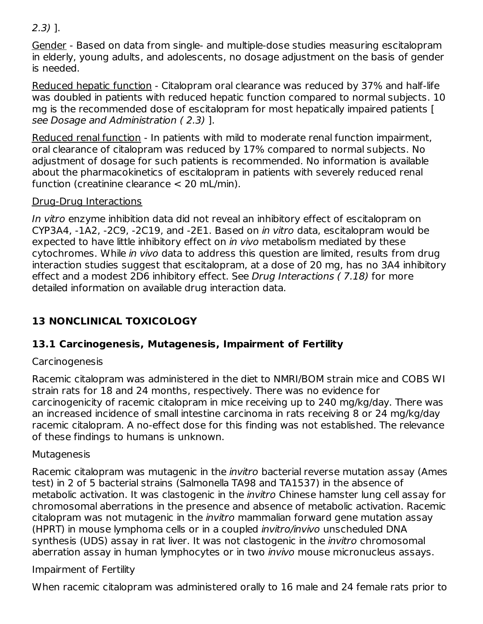#### 2.3) ].

Gender - Based on data from single- and multiple-dose studies measuring escitalopram in elderly, young adults, and adolescents, no dosage adjustment on the basis of gender is needed.

Reduced hepatic function - Citalopram oral clearance was reduced by 37% and half-life was doubled in patients with reduced hepatic function compared to normal subjects. 10 mg is the recommended dose of escitalopram for most hepatically impaired patients [ see Dosage and Administration ( 2.3) ].

Reduced renal function - In patients with mild to moderate renal function impairment, oral clearance of citalopram was reduced by 17% compared to normal subjects. No adjustment of dosage for such patients is recommended. No information is available about the pharmacokinetics of escitalopram in patients with severely reduced renal function (creatinine clearance < 20 mL/min).

#### Drug-Drug Interactions

In vitro enzyme inhibition data did not reveal an inhibitory effect of escitalopram on CYP3A4, -1A2, -2C9, -2C19, and -2E1. Based on in vitro data, escitalopram would be expected to have little inhibitory effect on in vivo metabolism mediated by these cytochromes. While in vivo data to address this question are limited, results from drug interaction studies suggest that escitalopram, at a dose of 20 mg, has no 3A4 inhibitory effect and a modest 2D6 inhibitory effect. See Drug Interactions ( 7.18) for more detailed information on available drug interaction data.

### **13 NONCLINICAL TOXICOLOGY**

### **13.1 Carcinogenesis, Mutagenesis, Impairment of Fertility**

#### Carcinogenesis

Racemic citalopram was administered in the diet to NMRI/BOM strain mice and COBS WI strain rats for 18 and 24 months, respectively. There was no evidence for carcinogenicity of racemic citalopram in mice receiving up to 240 mg/kg/day. There was an increased incidence of small intestine carcinoma in rats receiving 8 or 24 mg/kg/day racemic citalopram. A no-effect dose for this finding was not established. The relevance of these findings to humans is unknown.

#### **Mutagenesis**

Racemic citalopram was mutagenic in the invitro bacterial reverse mutation assay (Ames test) in 2 of 5 bacterial strains (Salmonella TA98 and TA1537) in the absence of metabolic activation. It was clastogenic in the *invitro* Chinese hamster lung cell assay for chromosomal aberrations in the presence and absence of metabolic activation. Racemic citalopram was not mutagenic in the invitro mammalian forward gene mutation assay (HPRT) in mouse lymphoma cells or in a coupled invitro/invivo unscheduled DNA synthesis (UDS) assay in rat liver. It was not clastogenic in the *invitro* chromosomal aberration assay in human lymphocytes or in two *invivo* mouse micronucleus assays.

#### Impairment of Fertility

When racemic citalopram was administered orally to 16 male and 24 female rats prior to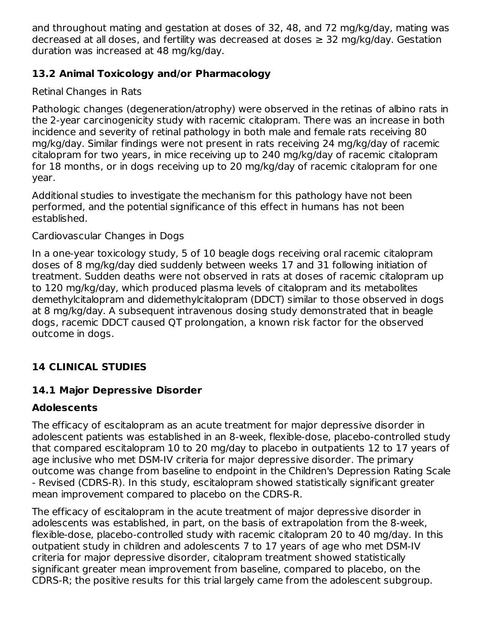and throughout mating and gestation at doses of 32, 48, and 72 mg/kg/day, mating was decreased at all doses, and fertility was decreased at doses  $\geq$  32 mg/kg/day. Gestation duration was increased at 48 mg/kg/day.

#### **13.2 Animal Toxicology and/or Pharmacology**

Retinal Changes in Rats

Pathologic changes (degeneration/atrophy) were observed in the retinas of albino rats in the 2-year carcinogenicity study with racemic citalopram. There was an increase in both incidence and severity of retinal pathology in both male and female rats receiving 80 mg/kg/day. Similar findings were not present in rats receiving 24 mg/kg/day of racemic citalopram for two years, in mice receiving up to 240 mg/kg/day of racemic citalopram for 18 months, or in dogs receiving up to 20 mg/kg/day of racemic citalopram for one year.

Additional studies to investigate the mechanism for this pathology have not been performed, and the potential significance of this effect in humans has not been established.

#### Cardiovascular Changes in Dogs

In a one-year toxicology study, 5 of 10 beagle dogs receiving oral racemic citalopram doses of 8 mg/kg/day died suddenly between weeks 17 and 31 following initiation of treatment. Sudden deaths were not observed in rats at doses of racemic citalopram up to 120 mg/kg/day, which produced plasma levels of citalopram and its metabolites demethylcitalopram and didemethylcitalopram (DDCT) similar to those observed in dogs at 8 mg/kg/day. A subsequent intravenous dosing study demonstrated that in beagle dogs, racemic DDCT caused QT prolongation, a known risk factor for the observed outcome in dogs.

## **14 CLINICAL STUDIES**

### **14.1 Major Depressive Disorder**

### **Adolescents**

The efficacy of escitalopram as an acute treatment for major depressive disorder in adolescent patients was established in an 8-week, flexible-dose, placebo-controlled study that compared escitalopram 10 to 20 mg/day to placebo in outpatients 12 to 17 years of age inclusive who met DSM-IV criteria for major depressive disorder. The primary outcome was change from baseline to endpoint in the Children's Depression Rating Scale - Revised (CDRS-R). In this study, escitalopram showed statistically significant greater mean improvement compared to placebo on the CDRS-R.

The efficacy of escitalopram in the acute treatment of major depressive disorder in adolescents was established, in part, on the basis of extrapolation from the 8-week, flexible-dose, placebo-controlled study with racemic citalopram 20 to 40 mg/day. In this outpatient study in children and adolescents 7 to 17 years of age who met DSM-IV criteria for major depressive disorder, citalopram treatment showed statistically significant greater mean improvement from baseline, compared to placebo, on the CDRS-R; the positive results for this trial largely came from the adolescent subgroup.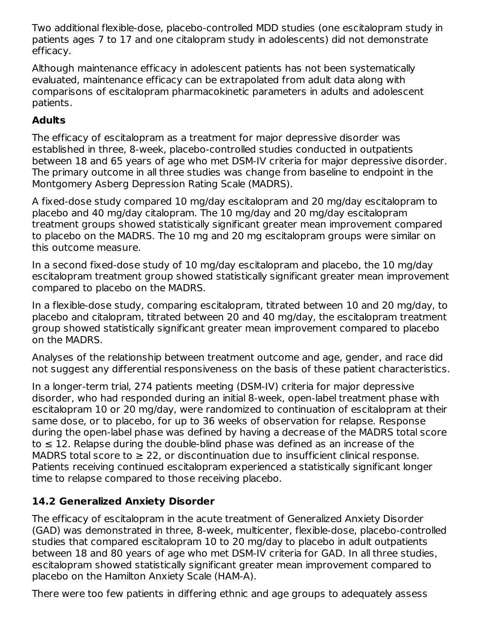Two additional flexible-dose, placebo-controlled MDD studies (one escitalopram study in patients ages 7 to 17 and one citalopram study in adolescents) did not demonstrate efficacy.

Although maintenance efficacy in adolescent patients has not been systematically evaluated, maintenance efficacy can be extrapolated from adult data along with comparisons of escitalopram pharmacokinetic parameters in adults and adolescent patients.

## **Adults**

The efficacy of escitalopram as a treatment for major depressive disorder was established in three, 8-week, placebo-controlled studies conducted in outpatients between 18 and 65 years of age who met DSM-IV criteria for major depressive disorder. The primary outcome in all three studies was change from baseline to endpoint in the Montgomery Asberg Depression Rating Scale (MADRS).

A fixed-dose study compared 10 mg/day escitalopram and 20 mg/day escitalopram to placebo and 40 mg/day citalopram. The 10 mg/day and 20 mg/day escitalopram treatment groups showed statistically significant greater mean improvement compared to placebo on the MADRS. The 10 mg and 20 mg escitalopram groups were similar on this outcome measure.

In a second fixed-dose study of 10 mg/day escitalopram and placebo, the 10 mg/day escitalopram treatment group showed statistically significant greater mean improvement compared to placebo on the MADRS.

In a flexible-dose study, comparing escitalopram, titrated between 10 and 20 mg/day, to placebo and citalopram, titrated between 20 and 40 mg/day, the escitalopram treatment group showed statistically significant greater mean improvement compared to placebo on the MADRS.

Analyses of the relationship between treatment outcome and age, gender, and race did not suggest any differential responsiveness on the basis of these patient characteristics.

In a longer-term trial, 274 patients meeting (DSM-IV) criteria for major depressive disorder, who had responded during an initial 8-week, open-label treatment phase with escitalopram 10 or 20 mg/day, were randomized to continuation of escitalopram at their same dose, or to placebo, for up to 36 weeks of observation for relapse. Response during the open-label phase was defined by having a decrease of the MADRS total score to  $\leq$  12. Relapse during the double-blind phase was defined as an increase of the MADRS total score to  $\geq 22$ , or discontinuation due to insufficient clinical response. Patients receiving continued escitalopram experienced a statistically significant longer time to relapse compared to those receiving placebo.

### **14.2 Generalized Anxiety Disorder**

The efficacy of escitalopram in the acute treatment of Generalized Anxiety Disorder (GAD) was demonstrated in three, 8-week, multicenter, flexible-dose, placebo-controlled studies that compared escitalopram 10 to 20 mg/day to placebo in adult outpatients between 18 and 80 years of age who met DSM-IV criteria for GAD. In all three studies, escitalopram showed statistically significant greater mean improvement compared to placebo on the Hamilton Anxiety Scale (HAM-A).

There were too few patients in differing ethnic and age groups to adequately assess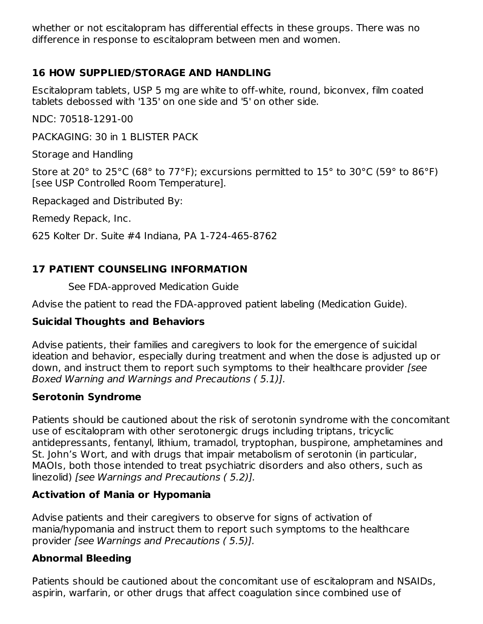whether or not escitalopram has differential effects in these groups. There was no difference in response to escitalopram between men and women.

### **16 HOW SUPPLIED/STORAGE AND HANDLING**

Escitalopram tablets, USP 5 mg are white to off-white, round, biconvex, film coated tablets debossed with '135' on one side and '5' on other side.

NDC: 70518-1291-00

PACKAGING: 30 in 1 BLISTER PACK

Storage and Handling

Store at 20° to 25°C (68° to 77°F); excursions permitted to 15° to 30°C (59° to 86°F) [see USP Controlled Room Temperature].

Repackaged and Distributed By:

Remedy Repack, Inc.

625 Kolter Dr. Suite #4 Indiana, PA 1-724-465-8762

#### **17 PATIENT COUNSELING INFORMATION**

See FDA-approved Medication Guide

Advise the patient to read the FDA-approved patient labeling (Medication Guide).

#### **Suicidal Thoughts and Behaviors**

Advise patients, their families and caregivers to look for the emergence of suicidal ideation and behavior, especially during treatment and when the dose is adjusted up or down, and instruct them to report such symptoms to their healthcare provider [see Boxed Warning and Warnings and Precautions ( 5.1)].

#### **Serotonin Syndrome**

Patients should be cautioned about the risk of serotonin syndrome with the concomitant use of escitalopram with other serotonergic drugs including triptans, tricyclic antidepressants, fentanyl, lithium, tramadol, tryptophan, buspirone, amphetamines and St. John's Wort, and with drugs that impair metabolism of serotonin (in particular, MAOIs, both those intended to treat psychiatric disorders and also others, such as linezolid) [see Warnings and Precautions ( 5.2)].

#### **Activation of Mania or Hypomania**

Advise patients and their caregivers to observe for signs of activation of mania/hypomania and instruct them to report such symptoms to the healthcare provider [see Warnings and Precautions ( 5.5)].

#### **Abnormal Bleeding**

Patients should be cautioned about the concomitant use of escitalopram and NSAIDs, aspirin, warfarin, or other drugs that affect coagulation since combined use of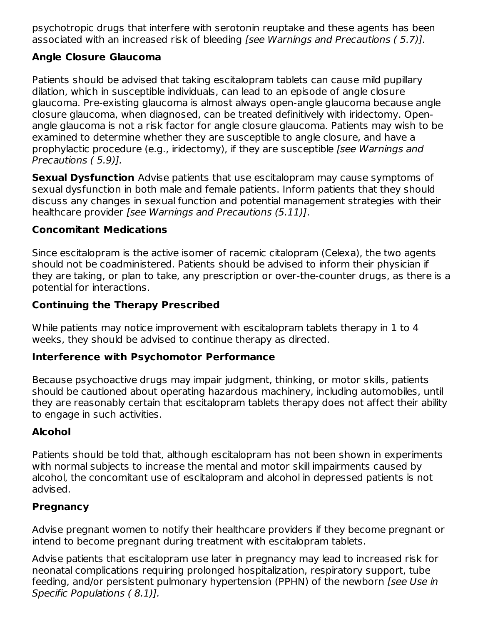psychotropic drugs that interfere with serotonin reuptake and these agents has been associated with an increased risk of bleeding [see Warnings and Precautions ( 5.7)].

### **Angle Closure Glaucoma**

Patients should be advised that taking escitalopram tablets can cause mild pupillary dilation, which in susceptible individuals, can lead to an episode of angle closure glaucoma. Pre-existing glaucoma is almost always open-angle glaucoma because angle closure glaucoma, when diagnosed, can be treated definitively with iridectomy. Openangle glaucoma is not a risk factor for angle closure glaucoma. Patients may wish to be examined to determine whether they are susceptible to angle closure, and have a prophylactic procedure (e.g., iridectomy), if they are susceptible [see Warnings and Precautions ( 5.9)].

**Sexual Dysfunction** Advise patients that use escitalopram may cause symptoms of sexual dysfunction in both male and female patients. Inform patients that they should discuss any changes in sexual function and potential management strategies with their healthcare provider [see Warnings and Precautions (5.11)].

#### **Concomitant Medications**

Since escitalopram is the active isomer of racemic citalopram (Celexa), the two agents should not be coadministered. Patients should be advised to inform their physician if they are taking, or plan to take, any prescription or over-the-counter drugs, as there is a potential for interactions.

#### **Continuing the Therapy Prescribed**

While patients may notice improvement with escitalopram tablets therapy in 1 to 4 weeks, they should be advised to continue therapy as directed.

#### **Interference with Psychomotor Performance**

Because psychoactive drugs may impair judgment, thinking, or motor skills, patients should be cautioned about operating hazardous machinery, including automobiles, until they are reasonably certain that escitalopram tablets therapy does not affect their ability to engage in such activities.

### **Alcohol**

Patients should be told that, although escitalopram has not been shown in experiments with normal subjects to increase the mental and motor skill impairments caused by alcohol, the concomitant use of escitalopram and alcohol in depressed patients is not advised.

#### **Pregnancy**

Advise pregnant women to notify their healthcare providers if they become pregnant or intend to become pregnant during treatment with escitalopram tablets.

Advise patients that escitalopram use later in pregnancy may lead to increased risk for neonatal complications requiring prolonged hospitalization, respiratory support, tube feeding, and/or persistent pulmonary hypertension (PPHN) of the newborn *[see Use in* Specific Populations ( 8.1)].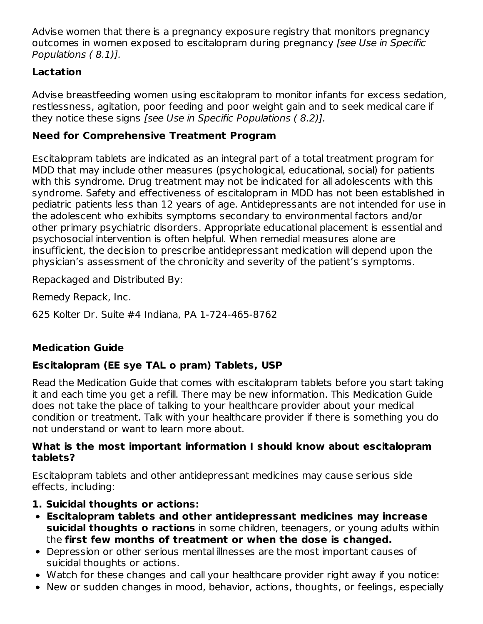Advise women that there is a pregnancy exposure registry that monitors pregnancy outcomes in women exposed to escitalopram during pregnancy [see Use in Specific Populations ( 8.1)].

### **Lactation**

Advise breastfeeding women using escitalopram to monitor infants for excess sedation, restlessness, agitation, poor feeding and poor weight gain and to seek medical care if they notice these signs [see Use in Specific Populations ( 8.2)].

### **Need for Comprehensive Treatment Program**

Escitalopram tablets are indicated as an integral part of a total treatment program for MDD that may include other measures (psychological, educational, social) for patients with this syndrome. Drug treatment may not be indicated for all adolescents with this syndrome. Safety and effectiveness of escitalopram in MDD has not been established in pediatric patients less than 12 years of age. Antidepressants are not intended for use in the adolescent who exhibits symptoms secondary to environmental factors and/or other primary psychiatric disorders. Appropriate educational placement is essential and psychosocial intervention is often helpful. When remedial measures alone are insufficient, the decision to prescribe antidepressant medication will depend upon the physician's assessment of the chronicity and severity of the patient's symptoms.

Repackaged and Distributed By:

Remedy Repack, Inc.

625 Kolter Dr. Suite #4 Indiana, PA 1-724-465-8762

### **Medication Guide**

### **Escitalopram (EE sye TAL o pram) Tablets, USP**

Read the Medication Guide that comes with escitalopram tablets before you start taking it and each time you get a refill. There may be new information. This Medication Guide does not take the place of talking to your healthcare provider about your medical condition or treatment. Talk with your healthcare provider if there is something you do not understand or want to learn more about.

#### **What is the most important information I should know about escitalopram tablets?**

Escitalopram tablets and other antidepressant medicines may cause serious side effects, including:

### **1. Suicidal thoughts or actions:**

- **Escitalopram tablets and other antidepressant medicines may increase suicidal thoughts o ractions** in some children, teenagers, or young adults within the **first few months of treatment or when the dose is changed.**
- Depression or other serious mental illnesses are the most important causes of suicidal thoughts or actions.
- Watch for these changes and call your healthcare provider right away if you notice:
- New or sudden changes in mood, behavior, actions, thoughts, or feelings, especially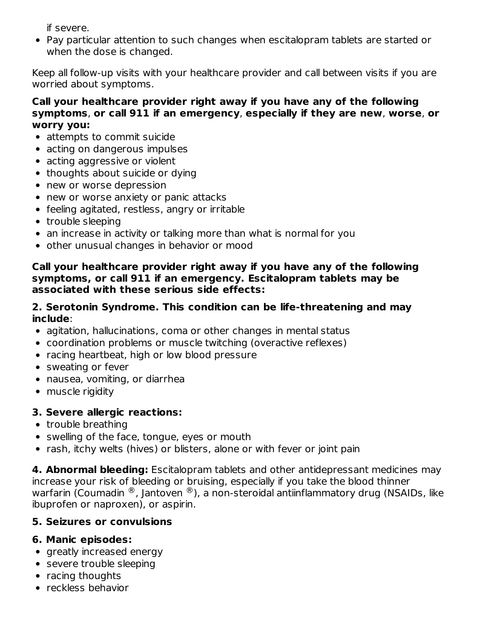if severe.

Pay particular attention to such changes when escitalopram tablets are started or when the dose is changed.

Keep all follow-up visits with your healthcare provider and call between visits if you are worried about symptoms.

#### **Call your healthcare provider right away if you have any of the following symptoms**, **or call 911 if an emergency**, **especially if they are new**, **worse**, **or worry you:**

- attempts to commit suicide
- acting on dangerous impulses
- acting aggressive or violent
- thoughts about suicide or dying
- new or worse depression
- new or worse anxiety or panic attacks
- feeling agitated, restless, angry or irritable
- trouble sleeping
- an increase in activity or talking more than what is normal for you
- other unusual changes in behavior or mood

#### **Call your healthcare provider right away if you have any of the following symptoms, or call 911 if an emergency. Escitalopram tablets may be associated with these serious side effects:**

#### **2. Serotonin Syndrome. This condition can be life-threatening and may include**:

- agitation, hallucinations, coma or other changes in mental status
- coordination problems or muscle twitching (overactive reflexes)
- racing heartbeat, high or low blood pressure
- sweating or fever
- nausea, vomiting, or diarrhea
- muscle rigidity

#### **3. Severe allergic reactions:**

- trouble breathing
- swelling of the face, tongue, eyes or mouth
- rash, itchy welts (hives) or blisters, alone or with fever or joint pain

**4. Abnormal bleeding:** Escitalopram tablets and other antidepressant medicines may increase your risk of bleeding or bruising, especially if you take the blood thinner warfarin (Coumadin  $^\circledR$ , Jantoven  $^\circledR$ ), a non-steroidal antiinflammatory drug (NSAIDs, like ibuprofen or naproxen), or aspirin.

#### **5. Seizures or convulsions**

#### **6. Manic episodes:**

- greatly increased energy
- severe trouble sleeping
- racing thoughts
- reckless behavior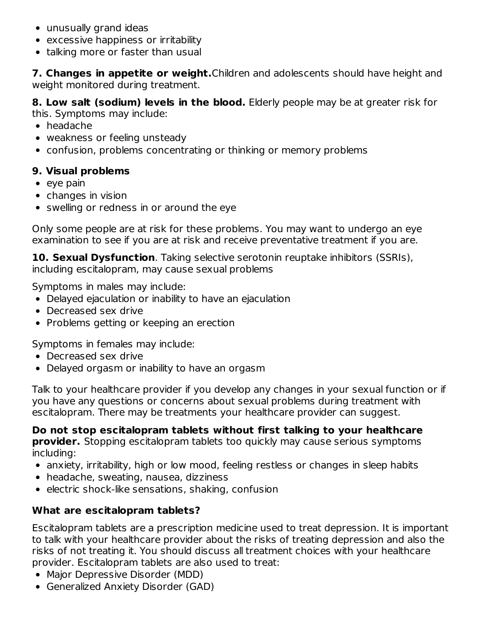- unusually grand ideas
- excessive happiness or irritability
- talking more or faster than usual

**7. Changes in appetite or weight.**Children and adolescents should have height and weight monitored during treatment.

**8. Low salt (sodium) levels in the blood.** Elderly people may be at greater risk for

this. Symptoms may include:

- headache
- weakness or feeling unsteady
- confusion, problems concentrating or thinking or memory problems

### **9. Visual problems**

- $\bullet$  eye pain
- changes in vision
- swelling or redness in or around the eye

Only some people are at risk for these problems. You may want to undergo an eye examination to see if you are at risk and receive preventative treatment if you are.

**10. Sexual Dysfunction**. Taking selective serotonin reuptake inhibitors (SSRIs), including escitalopram, may cause sexual problems

Symptoms in males may include:

- Delayed ejaculation or inability to have an ejaculation
- Decreased sex drive
- Problems getting or keeping an erection

Symptoms in females may include:

- Decreased sex drive
- Delayed orgasm or inability to have an orgasm

Talk to your healthcare provider if you develop any changes in your sexual function or if you have any questions or concerns about sexual problems during treatment with escitalopram. There may be treatments your healthcare provider can suggest.

**Do not stop escitalopram tablets without first talking to your healthcare provider.** Stopping escitalopram tablets too quickly may cause serious symptoms including:

- anxiety, irritability, high or low mood, feeling restless or changes in sleep habits
- headache, sweating, nausea, dizziness
- $\bullet$  electric shock-like sensations, shaking, confusion

## **What are escitalopram tablets?**

Escitalopram tablets are a prescription medicine used to treat depression. It is important to talk with your healthcare provider about the risks of treating depression and also the risks of not treating it. You should discuss all treatment choices with your healthcare provider. Escitalopram tablets are also used to treat:

- Major Depressive Disorder (MDD)
- Generalized Anxiety Disorder (GAD)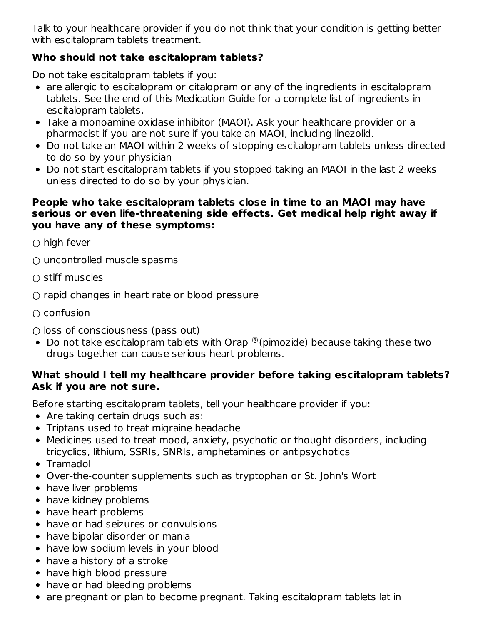Talk to your healthcare provider if you do not think that your condition is getting better with escitalopram tablets treatment.

### **Who should not take escitalopram tablets?**

Do not take escitalopram tablets if you:

- are allergic to escitalopram or citalopram or any of the ingredients in escitalopram tablets. See the end of this Medication Guide for a complete list of ingredients in escitalopram tablets.
- Take a monoamine oxidase inhibitor (MAOI). Ask your healthcare provider or a pharmacist if you are not sure if you take an MAOI, including linezolid.
- Do not take an MAOI within 2 weeks of stopping escitalopram tablets unless directed to do so by your physician
- Do not start escitalopram tablets if you stopped taking an MAOI in the last 2 weeks unless directed to do so by your physician.

#### **People who take escitalopram tablets close in time to an MAOI may have serious or even life-threatening side effects. Get medical help right away if you have any of these symptoms:**

 $\bigcirc$  high fever

- uncontrolled muscle spasms
- $\bigcirc$  stiff muscles
- $\bigcirc$  rapid changes in heart rate or blood pressure
- $\cap$  confusion
- $\bigcirc$  loss of consciousness (pass out)
- Do not take escitalopram tablets with Orap  $^{\circledR}$  (pimozide) because taking these two drugs together can cause serious heart problems.

#### **What should I tell my healthcare provider before taking escitalopram tablets? Ask if you are not sure.**

Before starting escitalopram tablets, tell your healthcare provider if you:

- Are taking certain drugs such as:
- Triptans used to treat migraine headache
- Medicines used to treat mood, anxiety, psychotic or thought disorders, including tricyclics, lithium, SSRIs, SNRIs, amphetamines or antipsychotics
- Tramadol
- Over-the-counter supplements such as tryptophan or St. John's Wort
- have liver problems
- have kidney problems
- have heart problems
- have or had seizures or convulsions
- have bipolar disorder or mania
- have low sodium levels in your blood
- have a history of a stroke
- have high blood pressure
- have or had bleeding problems
- are pregnant or plan to become pregnant. Taking escitalopram tablets lat in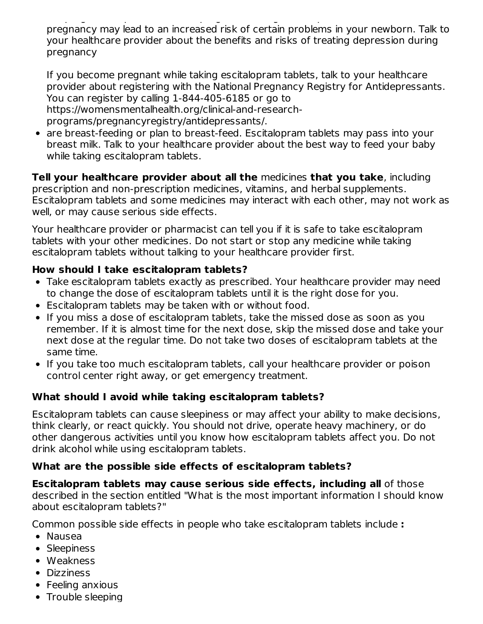are pregnant or plan to become pregnant. Taking escitalopram tablets lat in pregnancy may lead to an increased risk of certain problems in your newborn. Talk to your healthcare provider about the benefits and risks of treating depression during pregnancy

If you become pregnant while taking escitalopram tablets, talk to your healthcare provider about registering with the National Pregnancy Registry for Antidepressants. You can register by calling 1-844-405-6185 or go to https://womensmentalhealth.org/clinical-and-researchprograms/pregnancyregistry/antidepressants/.

are breast-feeding or plan to breast-feed. Escitalopram tablets may pass into your breast milk. Talk to your healthcare provider about the best way to feed your baby while taking escitalopram tablets.

**Tell your healthcare provider about all the** medicines **that you take**, including prescription and non-prescription medicines, vitamins, and herbal supplements. Escitalopram tablets and some medicines may interact with each other, may not work as well, or may cause serious side effects.

Your healthcare provider or pharmacist can tell you if it is safe to take escitalopram tablets with your other medicines. Do not start or stop any medicine while taking escitalopram tablets without talking to your healthcare provider first.

#### **How should I take escitalopram tablets?**

- Take escitalopram tablets exactly as prescribed. Your healthcare provider may need to change the dose of escitalopram tablets until it is the right dose for you.
- Escitalopram tablets may be taken with or without food.
- If you miss a dose of escitalopram tablets, take the missed dose as soon as you remember. If it is almost time for the next dose, skip the missed dose and take your next dose at the regular time. Do not take two doses of escitalopram tablets at the same time.
- If you take too much escitalopram tablets, call your healthcare provider or poison control center right away, or get emergency treatment.

#### **What should I avoid while taking escitalopram tablets?**

Escitalopram tablets can cause sleepiness or may affect your ability to make decisions, think clearly, or react quickly. You should not drive, operate heavy machinery, or do other dangerous activities until you know how escitalopram tablets affect you. Do not drink alcohol while using escitalopram tablets.

#### **What are the possible side effects of escitalopram tablets?**

**Escitalopram tablets may cause serious side effects, including all** of those described in the section entitled "What is the most important information I should know about escitalopram tablets?"

Common possible side effects in people who take escitalopram tablets include **:**

- Nausea
- Sleepiness
- Weakness
- Dizziness
- Feeling anxious
- Trouble sleeping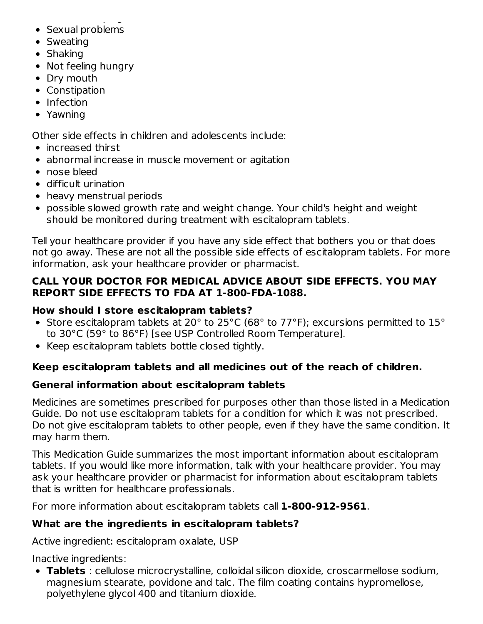- Trouble sleeping to be • Sexual problems
- Sweating
- Shaking
- Not feeling hungry
- Dry mouth
- Constipation
- Infection
- Yawning

Other side effects in children and adolescents include:

- increased thirst
- abnormal increase in muscle movement or agitation
- nose bleed
- difficult urination
- heavy menstrual periods
- possible slowed growth rate and weight change. Your child's height and weight should be monitored during treatment with escitalopram tablets.

Tell your healthcare provider if you have any side effect that bothers you or that does not go away. These are not all the possible side effects of escitalopram tablets. For more information, ask your healthcare provider or pharmacist.

#### **CALL YOUR DOCTOR FOR MEDICAL ADVICE ABOUT SIDE EFFECTS. YOU MAY REPORT SIDE EFFECTS TO FDA AT 1-800-FDA-1088.**

#### **How should I store escitalopram tablets?**

- Store escitalopram tablets at 20 $^{\circ}$  to 25 $^{\circ}$ C (68 $^{\circ}$  to 77 $^{\circ}$ F); excursions permitted to 15 $^{\circ}$ to 30°C (59° to 86°F) [see USP Controlled Room Temperature].
- Keep escitalopram tablets bottle closed tightly.

#### **Keep escitalopram tablets and all medicines out of the reach of children.**

#### **General information about escitalopram tablets**

Medicines are sometimes prescribed for purposes other than those listed in a Medication Guide. Do not use escitalopram tablets for a condition for which it was not prescribed. Do not give escitalopram tablets to other people, even if they have the same condition. It may harm them.

This Medication Guide summarizes the most important information about escitalopram tablets. If you would like more information, talk with your healthcare provider. You may ask your healthcare provider or pharmacist for information about escitalopram tablets that is written for healthcare professionals.

For more information about escitalopram tablets call **1-800-912-9561**.

### **What are the ingredients in escitalopram tablets?**

Active ingredient: escitalopram oxalate, USP

Inactive ingredients:

**Tablets** : cellulose microcrystalline, colloidal silicon dioxide, croscarmellose sodium, magnesium stearate, povidone and talc. The film coating contains hypromellose, polyethylene glycol 400 and titanium dioxide.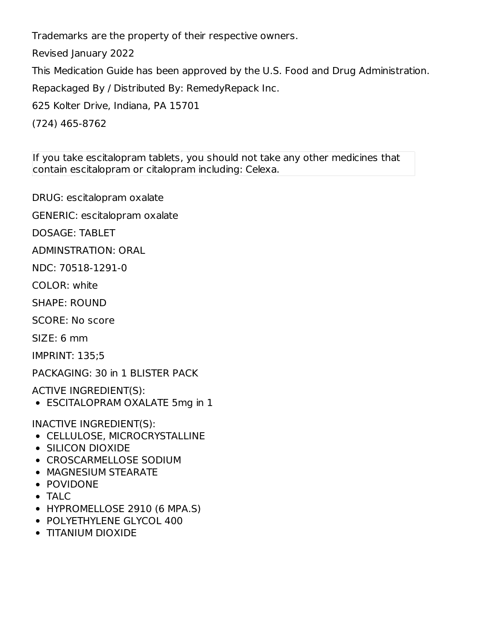Trademarks are the property of their respective owners.

Revised January 2022

This Medication Guide has been approved by the U.S. Food and Drug Administration.

Repackaged By / Distributed By: RemedyRepack Inc.

625 Kolter Drive, Indiana, PA 15701

(724) 465-8762

If you take escitalopram tablets, you should not take any other medicines that contain escitalopram or citalopram including: Celexa.

DRUG: escitalopram oxalate

GENERIC: escitalopram oxalate

DOSAGE: TABLET

ADMINSTRATION: ORAL

NDC: 70518-1291-0

COLOR: white

SHAPE: ROUND

SCORE: No score

SIZE: 6 mm

IMPRINT: 135;5

PACKAGING: 30 in 1 BLISTER PACK

ACTIVE INGREDIENT(S):

ESCITALOPRAM OXALATE 5mg in 1

INACTIVE INGREDIENT(S):

- CELLULOSE, MICROCRYSTALLINE
- SILICON DIOXIDE
- CROSCARMELLOSE SODIUM
- MAGNESIUM STEARATE
- POVIDONE
- TALC
- HYPROMELLOSE 2910 (6 MPA.S)
- POLYETHYLENE GLYCOL 400
- TITANIUM DIOXIDE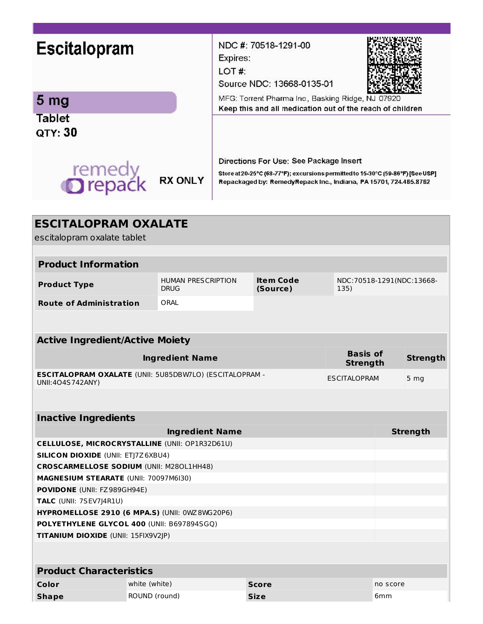| <b>Escitalopram</b>                                                                           |                                          | Expires:<br>LOT#:   | NDC #: 70518-1291-00<br>Source NDC: 13668-0135-01                                                                                                                                              |                                    |          |                 |
|-----------------------------------------------------------------------------------------------|------------------------------------------|---------------------|------------------------------------------------------------------------------------------------------------------------------------------------------------------------------------------------|------------------------------------|----------|-----------------|
| 5 <sub>mg</sub>                                                                               |                                          |                     | MFG: Torrent Pharma Inc., Basking Ridge, NJ 07920                                                                                                                                              |                                    |          |                 |
| <b>Tablet</b><br>QTY: 30                                                                      |                                          |                     | Keep this and all medication out of the reach of children                                                                                                                                      |                                    |          |                 |
| remedy<br><b>O</b> repack                                                                     | <b>RX ONLY</b>                           |                     | Directions For Use: See Package Insert<br>Store at 20-25°C (68-77°F); excursions permitted to 15-30°C (59-86°F) [See USP]<br>Repackaged by: RemedyRepack Inc., Indiana, PA 15701, 724.465.8762 |                                    |          |                 |
| <b>ESCITALOPRAM OXALATE</b><br>escitalopram oxalate tablet                                    |                                          |                     |                                                                                                                                                                                                |                                    |          |                 |
| <b>Product Information</b>                                                                    |                                          |                     |                                                                                                                                                                                                |                                    |          |                 |
| <b>Product Type</b>                                                                           | <b>HUMAN PRESCRIPTION</b><br><b>DRUG</b> |                     | <b>Item Code</b><br>(Source)                                                                                                                                                                   | NDC:70518-1291(NDC:13668-<br>135)  |          |                 |
| <b>Route of Administration</b>                                                                | ORAL                                     |                     |                                                                                                                                                                                                |                                    |          |                 |
| <b>Active Ingredient/Active Moiety</b>                                                        |                                          |                     |                                                                                                                                                                                                |                                    |          |                 |
|                                                                                               | <b>Ingredient Name</b>                   |                     |                                                                                                                                                                                                | <b>Basis of</b><br><b>Strength</b> |          | <b>Strength</b> |
| ESCITALOPRAM OXALATE (UNII: 5U85DBW7LO) (ESCITALOPRAM -<br>UNII: 404S742ANY)                  |                                          | <b>ESCITALOPRAM</b> |                                                                                                                                                                                                | 5 <sub>mg</sub>                    |          |                 |
| <b>Inactive Ingredients</b>                                                                   |                                          |                     |                                                                                                                                                                                                |                                    |          |                 |
|                                                                                               | <b>Ingredient Name</b>                   |                     |                                                                                                                                                                                                |                                    |          | <b>Strength</b> |
| <b>CELLULOSE, MICROCRYSTALLINE (UNII: OP1R32D61U)</b>                                         |                                          |                     |                                                                                                                                                                                                |                                    |          |                 |
| <b>SILICON DIOXIDE (UNII: ETJ7Z6XBU4)</b>                                                     |                                          |                     |                                                                                                                                                                                                |                                    |          |                 |
| <b>CROSCARMELLOSE SODIUM (UNII: M280L1HH48)</b>                                               |                                          |                     |                                                                                                                                                                                                |                                    |          |                 |
| MAGNESIUM STEARATE (UNII: 70097M6I30)                                                         |                                          |                     |                                                                                                                                                                                                |                                    |          |                 |
| POVIDONE (UNII: FZ989GH94E)                                                                   |                                          |                     |                                                                                                                                                                                                |                                    |          |                 |
| TALC (UNII: 7SEV7J4R1U)                                                                       |                                          |                     |                                                                                                                                                                                                |                                    |          |                 |
| HYPROMELLOSE 2910 (6 MPA.S) (UNII: 0WZ 8WG20P6)<br>POLYETHYLENE GLYCOL 400 (UNII: B697894SGQ) |                                          |                     |                                                                                                                                                                                                |                                    |          |                 |
| TITANIUM DIOXIDE (UNII: 15FIX9V2JP)                                                           |                                          |                     |                                                                                                                                                                                                |                                    |          |                 |
| <b>Product Characteristics</b>                                                                |                                          |                     |                                                                                                                                                                                                |                                    |          |                 |
| Color<br>white (white)                                                                        |                                          |                     | <b>Score</b>                                                                                                                                                                                   |                                    | no score |                 |
| ROUND (round)<br><b>Shape</b>                                                                 |                                          |                     | <b>Size</b>                                                                                                                                                                                    |                                    | 6mm      |                 |